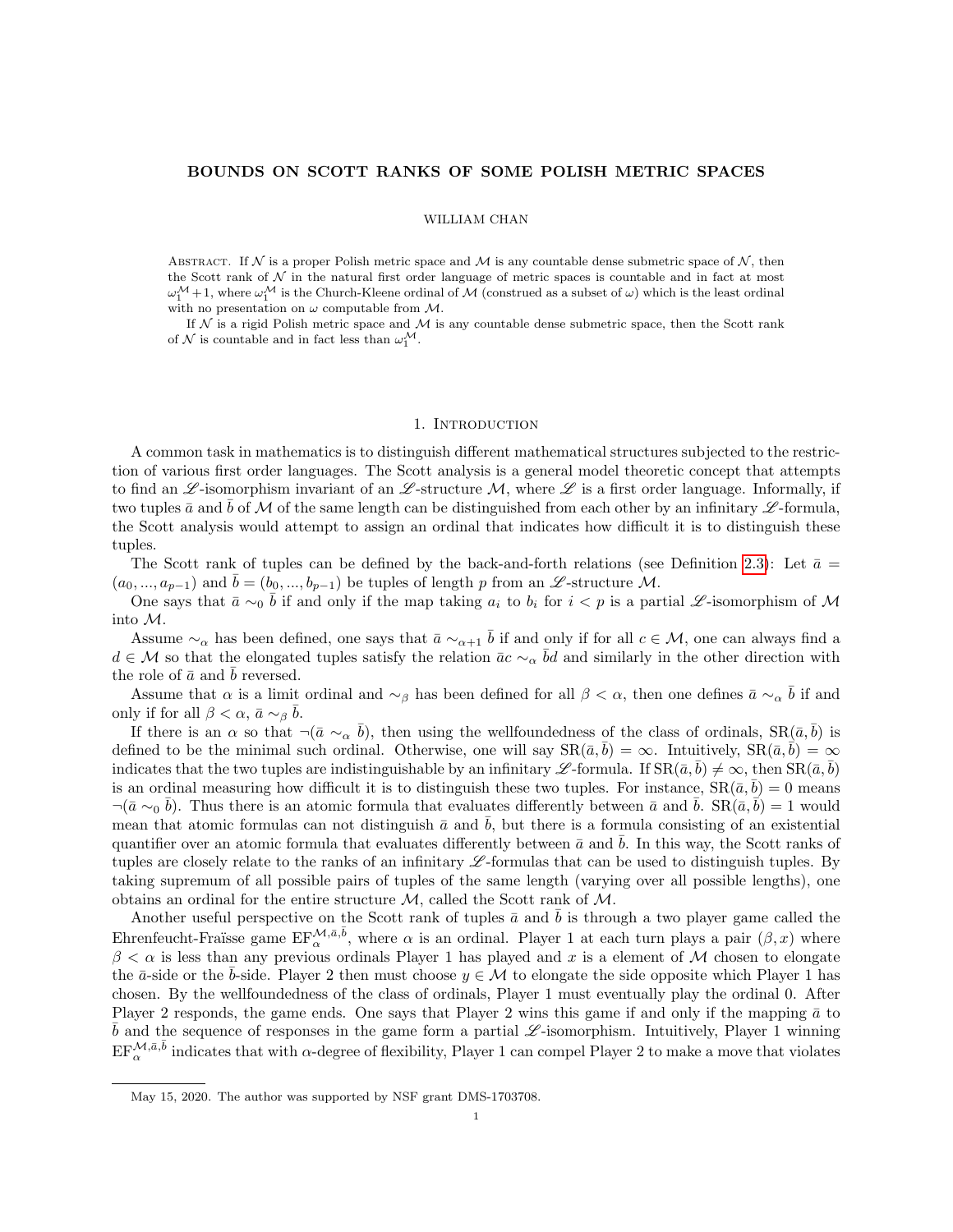# BOUNDS ON SCOTT RANKS OF SOME POLISH METRIC SPACES

## WILLIAM CHAN

ABSTRACT. If N is a proper Polish metric space and M is any countable dense submetric space of N, then the Scott rank of  $N$  in the natural first order language of metric spaces is countable and in fact at most  $\omega_1^{\mathcal{M}}+1$ , where  $\omega_1^{\mathcal{M}}$  is the Church-Kleene ordinal of  $\mathcal{M}$  (construed as a subset of  $\omega$ ) which is the least ordinal with no presentation on  $\omega$  computable from  $\mathcal{M}$ .

If  $N$  is a rigid Polish metric space and  $M$  is any countable dense submetric space, then the Scott rank of  $\mathcal N$  is countable and in fact less than  $\omega_1^{\mathcal M}$ .

#### 1. INTRODUCTION

A common task in mathematics is to distinguish different mathematical structures subjected to the restriction of various first order languages. The Scott analysis is a general model theoretic concept that attempts to find an  $\mathscr{L}$ -isomorphism invariant of an  $\mathscr{L}$ -structure M, where  $\mathscr{L}$  is a first order language. Informally, if two tuples  $\bar{a}$  and b of M of the same length can be distinguished from each other by an infinitary  $\mathscr{L}$ -formula, the Scott analysis would attempt to assign an ordinal that indicates how difficult it is to distinguish these tuples.

The Scott rank of tuples can be defined by the back-and-forth relations (see Definition [2.3\)](#page-3-0): Let  $\bar{a} =$  $(a_0, ..., a_{p-1})$  and  $\bar{b} = (b_0, ..., b_{p-1})$  be tuples of length p from an L -structure M.

One says that  $\bar{a} \sim_0 \bar{b}$  if and only if the map taking  $a_i$  to  $b_i$  for  $i < p$  is a partial L-isomorphism of M into M.

Assume  $\sim_\alpha$  has been defined, one says that  $\bar{a} \sim_{\alpha+1} \bar{b}$  if and only if for all  $c \in \mathcal{M}$ , one can always find a  $d \in \mathcal{M}$  so that the elongated tuples satisfy the relation  $\bar{a}c \sim_{\alpha} \bar{b}d$  and similarly in the other direction with the role of  $\bar{a}$  and  $\bar{b}$  reversed.

Assume that  $\alpha$  is a limit ordinal and  $\sim_\beta$  has been defined for all  $\beta < \alpha$ , then one defines  $\bar{a} \sim_\alpha \bar{b}$  if and only if for all  $\beta < \alpha$ ,  $\bar{a} \sim_{\beta} \bar{b}$ .

If there is an  $\alpha$  so that  $\neg(\bar{a} \sim_{\alpha} \bar{b})$ , then using the wellfoundedness of the class of ordinals,  $\text{SR}(\bar{a}, \bar{b})$  is defined to be the minimal such ordinal. Otherwise, one will say  $\text{SR}(\bar{a}, b) = \infty$ . Intuitively,  $\text{SR}(\bar{a}, b) = \infty$ indicates that the two tuples are indistinguishable by an infinitary L -formula. If  $\text{SR}(\bar{a}, \bar{b}) \neq \infty$ , then  $\text{SR}(\bar{a}, \bar{b})$ is an ordinal measuring how difficult it is to distinguish these two tuples. For instance,  $\text{SR}(\bar{a}, \bar{b}) = 0$  means  $\neg(\bar{a} \sim_0 \bar{b})$ . Thus there is an atomic formula that evaluates differently between  $\bar{a}$  and  $\bar{b}$ . SR $(\bar{a}, \bar{b}) = 1$  would mean that atomic formulas can not distinguish  $\bar{a}$  and b, but there is a formula consisting of an existential quantifier over an atomic formula that evaluates differently between  $\bar{a}$  and  $\bar{b}$ . In this way, the Scott ranks of tuples are closely relate to the ranks of an infinitary  $\mathscr{L}$ -formulas that can be used to distinguish tuples. By taking supremum of all possible pairs of tuples of the same length (varying over all possible lengths), one obtains an ordinal for the entire structure  $M$ , called the Scott rank of  $M$ .

Another useful perspective on the Scott rank of tuples  $\bar{a}$  and  $\bar{b}$  is through a two player game called the Ehrenfeucht-Fraïsse game  $EF_{\alpha}^{\mathcal{M},\bar{a},\bar{b}}$ , where  $\alpha$  is an ordinal. Player 1 at each turn plays a pair  $(\beta,x)$  where  $\beta < \alpha$  is less than any previous ordinals Player 1 has played and x is a element of M chosen to elongate the  $\bar{a}$ -side or the  $\bar{b}$ -side. Player 2 then must choose  $y \in \mathcal{M}$  to elongate the side opposite which Player 1 has chosen. By the wellfoundedness of the class of ordinals, Player 1 must eventually play the ordinal 0. After Player 2 responds, the game ends. One says that Player 2 wins this game if and only if the mapping  $\bar{a}$  to  $\bar{b}$  and the sequence of responses in the game form a partial  $\mathscr{L}$ -isomorphism. Intuitively, Player 1 winning  $EF_\alpha^{\mathcal{M},\bar{a},\bar{b}}$  indicates that with  $\alpha$ -degree of flexibility, Player 1 can compel Player 2 to make a move that violates

May 15, 2020. The author was supported by NSF grant DMS-1703708.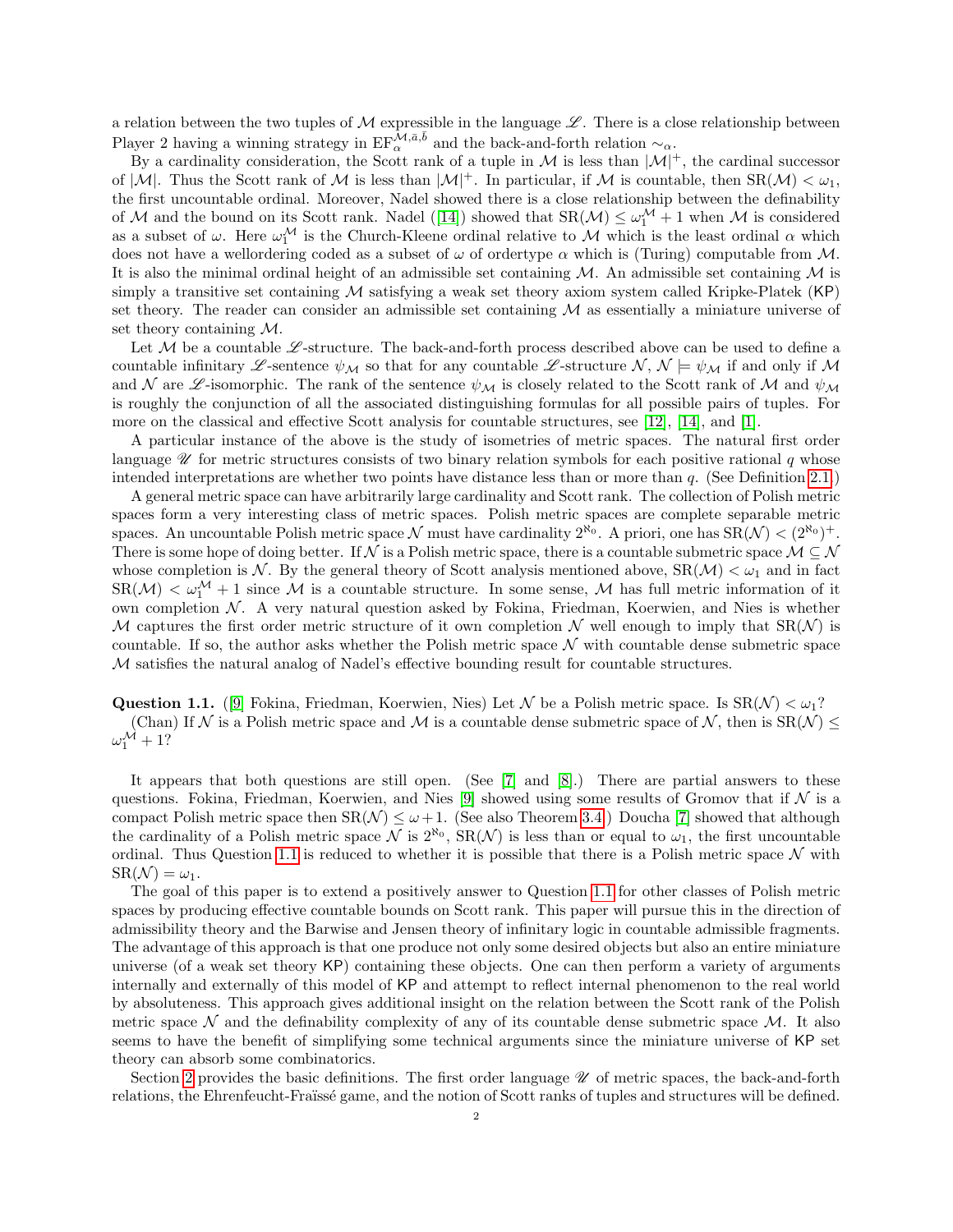a relation between the two tuples of  $\mathcal M$  expressible in the language  $\mathscr L$ . There is a close relationship between Player 2 having a winning strategy in  $EF_{\alpha}^{\mathcal{M},\bar{a},\bar{b}}$  and the back-and-forth relation  $\sim_{\alpha}$ .

By a cardinality consideration, the Scott rank of a tuple in  $\mathcal M$  is less than  $|\mathcal M|^+$ , the cardinal successor of  $|M|$ . Thus the Scott rank of M is less than  $|M|^+$ . In particular, if M is countable, then  $SR(\mathcal{M}) < \omega_1$ , the first uncountable ordinal. Moreover, Nadel showed there is a close relationship between the definability ofM and the bound on its Scott rank. Nadel ([\[14\]](#page-14-0)) showed that  $SR(\mathcal{M}) \leq \omega_1^{\mathcal{M}} + 1$  when M is considered as a subset of  $\omega$ . Here  $\omega_1^{\mathcal{M}}$  is the Church-Kleene ordinal relative to M which is the least ordinal  $\alpha$  which does not have a wellordering coded as a subset of  $\omega$  of ordertype  $\alpha$  which is (Turing) computable from M. It is also the minimal ordinal height of an admissible set containing  $M$ . An admissible set containing  $M$  is simply a transitive set containing  $M$  satisfying a weak set theory axiom system called Kripke-Platek  $(KP)$ set theory. The reader can consider an admissible set containing  $\mathcal M$  as essentially a miniature universe of set theory containing M.

Let  $M$  be a countable  $\mathscr{L}$ -structure. The back-and-forth process described above can be used to define a countable infinitary L-sentence  $\psi_{\mathcal{M}}$  so that for any countable L-structure N,  $\mathcal{N} \models \psi_{\mathcal{M}}$  if and only if M and N are  $\mathscr L$ -isomorphic. The rank of the sentence  $\psi_{\mathcal M}$  is closely related to the Scott rank of M and  $\psi_{\mathcal M}$ is roughly the conjunction of all the associated distinguishing formulas for all possible pairs of tuples. For more on the classical and effective Scott analysis for countable structures, see [\[12\]](#page-14-1), [\[14\]](#page-14-0), and [\[1\]](#page-14-2).

A particular instance of the above is the study of isometries of metric spaces. The natural first order language  $\mathscr U$  for metric structures consists of two binary relation symbols for each positive rational q whose intended interpretations are whether two points have distance less than or more than  $q$ . (See Definition [2.1.](#page-3-1))

A general metric space can have arbitrarily large cardinality and Scott rank. The collection of Polish metric spaces form a very interesting class of metric spaces. Polish metric spaces are complete separable metric spaces. An uncountable Polish metric space N must have cardinality  $2^{\aleph_0}$ . A priori, one has  $SR(\mathcal{N}) < (2^{\aleph_0})^+$ . There is some hope of doing better. If N is a Polish metric space, there is a countable submetric space  $\mathcal{M} \subseteq \mathcal{N}$ whose completion is N. By the general theory of Scott analysis mentioned above,  $\text{SR}(\mathcal{M}) < \omega_1$  and in fact  $SR(\mathcal{M}) < \omega_1^{\mathcal{M}} + 1$  since M is a countable structure. In some sense, M has full metric information of it own completion  $N$ . A very natural question asked by Fokina, Friedman, Koerwien, and Nies is whether M captures the first order metric structure of it own completion N well enough to imply that  $SR(\mathcal{N})$  is countable. If so, the author asks whether the Polish metric space  $\mathcal N$  with countable dense submetric space M satisfies the natural analog of Nadel's effective bounding result for countable structures.

<span id="page-1-0"></span>**Question 1.1.** ([\[9\]](#page-14-3) Fokina, Friedman, Koerwien, Nies) Let N be a Polish metric space. Is  $SR(\mathcal{N}) < \omega_1$ ? (Chan) If N is a Polish metric space and M is a countable dense submetric space of N, then is  $SR(N) \leq$  $\omega_1^{\mathcal{M}}+1?$ 

It appears that both questions are still open. (See [\[7\]](#page-14-4) and [\[8\]](#page-14-5).) There are partial answers to these questions. Fokina, Friedman, Koerwien, and Nies [\[9\]](#page-14-3) showed using some results of Gromov that if  $\mathcal N$  is a compact Polish metric space then  $SR(\mathcal{N}) \leq \omega + 1$ . (See also Theorem [3.4.](#page-6-0)) Doucha [\[7\]](#page-14-4) showed that although the cardinality of a Polish metric space  $\mathcal N$  is  $2^{\aleph_0}$ ,  $\text{SR}(\mathcal N)$  is less than or equal to  $\omega_1$ , the first uncountable ordinal. Thus Question [1.1](#page-1-0) is reduced to whether it is possible that there is a Polish metric space  $\mathcal N$  with  $\text{SR}(\mathcal{N}) = \omega_1$ .

The goal of this paper is to extend a positively answer to Question [1.1](#page-1-0) for other classes of Polish metric spaces by producing effective countable bounds on Scott rank. This paper will pursue this in the direction of admissibility theory and the Barwise and Jensen theory of infinitary logic in countable admissible fragments. The advantage of this approach is that one produce not only some desired objects but also an entire miniature universe (of a weak set theory KP) containing these objects. One can then perform a variety of arguments internally and externally of this model of KP and attempt to reflect internal phenomenon to the real world by absoluteness. This approach gives additional insight on the relation between the Scott rank of the Polish metric space  $\mathcal N$  and the definability complexity of any of its countable dense submetric space  $\mathcal M$ . It also seems to have the benefit of simplifying some technical arguments since the miniature universe of KP set theory can absorb some combinatorics.

Section [2](#page-3-2) provides the basic definitions. The first order language  $\mathscr U$  of metric spaces, the back-and-forth relations, the Ehrenfeucht-Fraïssé game, and the notion of Scott ranks of tuples and structures will be defined.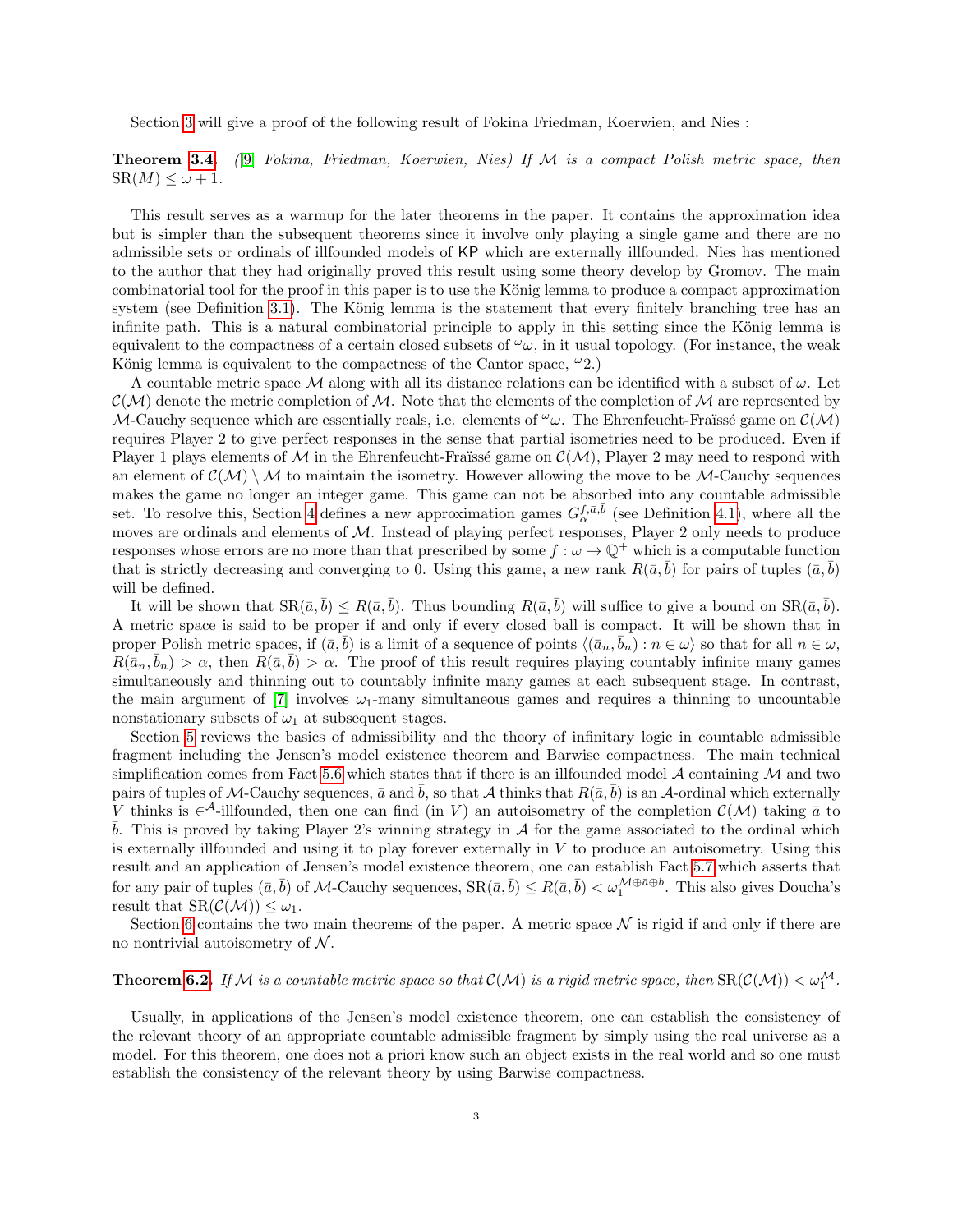Section [3](#page-4-0) will give a proof of the following result of Fokina Friedman, Koerwien, and Nies :

# **Theorem [3.4.](#page-6-0)** (9) Fokina, Friedman, Koerwien, Nies) If M is a compact Polish metric space, then  $SR(M) \leq \omega + 1.$

This result serves as a warmup for the later theorems in the paper. It contains the approximation idea but is simpler than the subsequent theorems since it involve only playing a single game and there are no admissible sets or ordinals of illfounded models of KP which are externally illfounded. Nies has mentioned to the author that they had originally proved this result using some theory develop by Gromov. The main combinatorial tool for the proof in this paper is to use the König lemma to produce a compact approximation system (see Definition [3.1\)](#page-4-1). The König lemma is the statement that every finitely branching tree has an infinite path. This is a natural combinatorial principle to apply in this setting since the König lemma is equivalent to the compactness of a certain closed subsets of  $\omega_{\omega}$ , in it usual topology. (For instance, the weak König lemma is equivalent to the compactness of the Cantor space,  $\omega_2$ .

A countable metric space M along with all its distance relations can be identified with a subset of  $\omega$ . Let  $\mathcal{C}(\mathcal{M})$  denote the metric completion of M. Note that the elements of the completion of M are represented by M-Cauchy sequence which are essentially reals, i.e. elements of  $\omega$ . The Ehrenfeucht-Fraüssé game on  $\mathcal{C}(\mathcal{M})$ requires Player 2 to give perfect responses in the sense that partial isometries need to be produced. Even if Player 1 plays elements of M in the Ehrenfeucht-Fraüssé game on  $\mathcal{C}(\mathcal{M})$ , Player 2 may need to respond with an element of  $\mathcal{C}(\mathcal{M})\setminus\mathcal{M}$  to maintain the isometry. However allowing the move to be M-Cauchy sequences makes the game no longer an integer game. This game can not be absorbed into any countable admissible set. To resolve this, Section [4](#page-6-1) defines a new approximation games  $G_{\alpha}^{f,\bar{a},\bar{b}}$  (see Definition [4.1\)](#page-7-0), where all the moves are ordinals and elements of  $M$ . Instead of playing perfect responses, Player 2 only needs to produce responses whose errors are no more than that prescribed by some  $f : \omega \to \mathbb{Q}^+$  which is a computable function that is strictly decreasing and converging to 0. Using this game, a new rank  $R(\bar{a}, \bar{b})$  for pairs of tuples  $(\bar{a}, \bar{b})$ will be defined.

It will be shown that  $\text{SR}(\bar{a}, \bar{b}) \leq R(\bar{a}, \bar{b})$ . Thus bounding  $R(\bar{a}, \bar{b})$  will suffice to give a bound on  $\text{SR}(\bar{a}, \bar{b})$ . A metric space is said to be proper if and only if every closed ball is compact. It will be shown that in proper Polish metric spaces, if  $(\bar{a}, \bar{b})$  is a limit of a sequence of points  $\langle(\bar{a}_n, \bar{b}_n): n \in \omega \rangle$  so that for all  $n \in \omega$ ,  $R(\bar{a}_n, \bar{b}_n) > \alpha$ , then  $R(\bar{a}, \bar{b}) > \alpha$ . The proof of this result requires playing countably infinite many games simultaneously and thinning out to countably infinite many games at each subsequent stage. In contrast, the main argument of [\[7\]](#page-14-4) involves  $\omega_1$ -many simultaneous games and requires a thinning to uncountable nonstationary subsets of  $\omega_1$  at subsequent stages.

Section [5](#page-10-0) reviews the basics of admissibility and the theory of infinitary logic in countable admissible fragment including the Jensen's model existence theorem and Barwise compactness. The main technical simplification comes from Fact [5.6](#page-11-0) which states that if there is an illfounded model  $\cal{A}$  containing  $\cal{M}$  and two pairs of tuples of M-Cauchy sequences,  $\bar{a}$  and b, so that A thinks that  $R(\bar{a}, b)$  is an A-ordinal which externally V thinks is  $\in^{\mathcal{A}}$ -illfounded, then one can find (in V) an autoisometry of the completion  $\mathcal{C}(\mathcal{M})$  taking  $\bar{a}$  to b. This is proved by taking Player 2's winning strategy in  $A$  for the game associated to the ordinal which is externally illfounded and using it to play forever externally in  $V$  to produce an autoisometry. Using this result and an application of Jensen's model existence theorem, one can establish Fact [5.7](#page-11-1) which asserts that for any pair of tuples  $(\bar{a}, \bar{b})$  of M-Cauchy sequences,  $\text{SR}(\bar{a}, \bar{b}) \leq R(\bar{a}, \bar{b}) < \omega_1^{\mathcal{M} \oplus \bar{a} \oplus \bar{b}}$ . This also gives Doucha's result that  $\text{SR}(\mathcal{C}(\mathcal{M})) \leq \omega_1$ .

Section [6](#page-13-0) contains the two main theorems of the paper. A metric space  $\mathcal N$  is rigid if and only if there are no nontrivial autoisometry of  $N$ .

# **Theorem [6.2.](#page-13-1)** If M is a countable metric space so that  $\mathcal{C}(\mathcal{M})$  is a rigid metric space, then  $\text{SR}(\mathcal{C}(\mathcal{M})) < \omega_1^{\mathcal{M}}$ .

Usually, in applications of the Jensen's model existence theorem, one can establish the consistency of the relevant theory of an appropriate countable admissible fragment by simply using the real universe as a model. For this theorem, one does not a priori know such an object exists in the real world and so one must establish the consistency of the relevant theory by using Barwise compactness.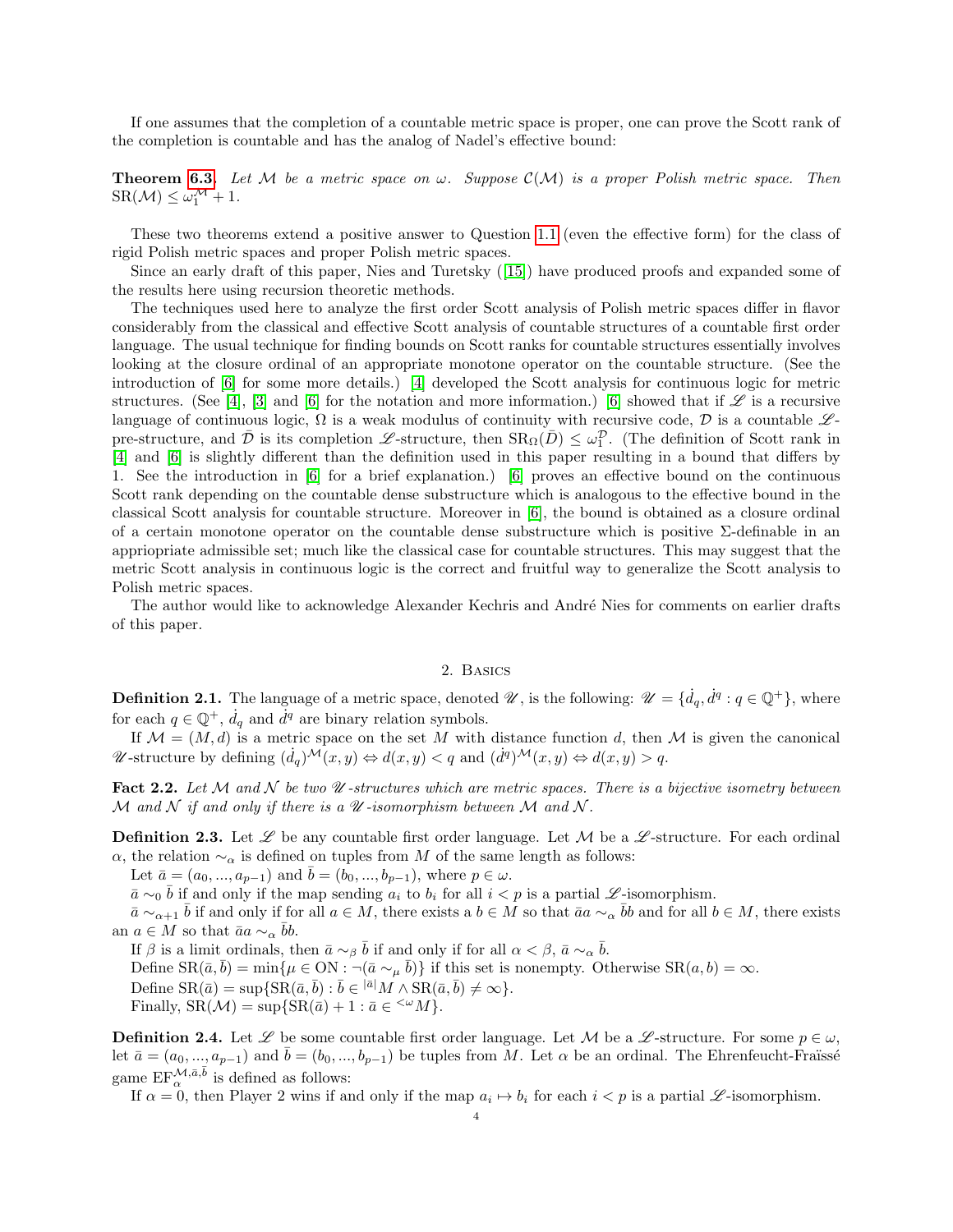If one assumes that the completion of a countable metric space is proper, one can prove the Scott rank of the completion is countable and has the analog of Nadel's effective bound:

**Theorem [6.3.](#page-14-6)** Let M be a metric space on  $\omega$ . Suppose  $\mathcal{C}(\mathcal{M})$  is a proper Polish metric space. Then  $SR(\mathcal{M}) \leq \omega_1^{\mathcal{M}} + 1.$ 

These two theorems extend a positive answer to Question [1.1](#page-1-0) (even the effective form) for the class of rigid Polish metric spaces and proper Polish metric spaces.

Since an early draft of this paper, Nies and Turetsky([\[15\]](#page-14-7)) have produced proofs and expanded some of the results here using recursion theoretic methods.

The techniques used here to analyze the first order Scott analysis of Polish metric spaces differ in flavor considerably from the classical and effective Scott analysis of countable structures of a countable first order language. The usual technique for finding bounds on Scott ranks for countable structures essentially involves looking at the closure ordinal of an appropriate monotone operator on the countable structure. (See the introduction of [\[6\]](#page-14-8) for some more details.) [\[4\]](#page-14-9) developed the Scott analysis for continuous logic for metric structures. (See [\[4\]](#page-14-9), [\[3\]](#page-14-10) and [\[6\]](#page-14-8) for the notation and more information.) [6] showed that if  $\mathscr L$  is a recursive language of continuous logic,  $\Omega$  is a weak modulus of continuity with recursive code,  $\mathcal D$  is a countable  $\mathscr L$ pre-structure, and  $\bar{\mathcal{D}}$  is its completion L-structure, then  $SR_{\Omega}(\bar{D}) \leq \omega_1^{\mathcal{D}}$ . (The definition of Scott rank in [\[4\]](#page-14-9) and [\[6\]](#page-14-8) is slightly different than the definition used in this paper resulting in a bound that differs by 1. See the introduction in [\[6\]](#page-14-8) for a brief explanation.) [\[6\]](#page-14-8) proves an effective bound on the continuous Scott rank depending on the countable dense substructure which is analogous to the effective bound in the classical Scott analysis for countable structure. Moreover in [\[6\]](#page-14-8), the bound is obtained as a closure ordinal of a certain monotone operator on the countable dense substructure which is positive  $\Sigma$ -definable in an appriopriate admissible set; much like the classical case for countable structures. This may suggest that the metric Scott analysis in continuous logic is the correct and fruitful way to generalize the Scott analysis to Polish metric spaces.

The author would like to acknowledge Alexander Kechris and André Nies for comments on earlier drafts of this paper.

# 2. Basics

<span id="page-3-2"></span><span id="page-3-1"></span>**Definition 2.1.** The language of a metric space, denoted  $\mathscr{U}$ , is the following:  $\mathscr{U} = \{d_q, d^q : q \in \mathbb{Q}^+\}$ , where for each  $q \in \mathbb{Q}^+$ ,  $\dot{d}_q$  and  $\dot{d}^q$  are binary relation symbols.

If  $\mathcal{M} = (M, d)$  is a metric space on the set M with distance function d, then M is given the canonical W-structure by defining  $(\dot{d}_q)^{\mathcal{M}}(x, y) \Leftrightarrow d(x, y) < q$  and  $(\dot{d}^q)^{\mathcal{M}}(x, y) \Leftrightarrow d(x, y) > q$ .

Fact 2.2. Let M and N be two  $\mathcal U$ -structures which are metric spaces. There is a bijective isometry between M and N if and only if there is a  $\mathcal U$ -isomorphism between M and N.

<span id="page-3-0"></span>**Definition 2.3.** Let  $\mathscr L$  be any countable first order language. Let  $\mathcal M$  be a  $\mathscr L$ -structure. For each ordinal  $\alpha$ , the relation  $\sim_{\alpha}$  is defined on tuples from M of the same length as follows:

Let  $\bar{a} = (a_0, ..., a_{p-1})$  and  $\bar{b} = (b_0, ..., b_{p-1})$ , where  $p \in \omega$ .

 $\bar{a} \sim_0 \bar{b}$  if and only if the map sending  $a_i$  to  $b_i$  for all  $i < p$  is a partial  $\mathscr{L}$ -isomorphism.

 $\bar{a} \sim_{\alpha+1} \bar{b}$  if and only if for all  $a \in M$ , there exists a  $b \in M$  so that  $\bar{a}a \sim_{\alpha} \bar{b}b$  and for all  $b \in M$ , there exists an  $a \in M$  so that  $\bar{a}a \sim_{\alpha} \bar{b}b$ .

If  $\beta$  is a limit ordinals, then  $\bar{a} \sim_{\beta} \bar{b}$  if and only if for all  $\alpha < \beta$ ,  $\bar{a} \sim_{\alpha} \bar{b}$ .

Define  $SR(\bar{a}, \bar{b}) = \min\{\mu \in ON : \neg(\bar{a} \sim_\mu \bar{b})\}\$ if this set is nonempty. Otherwise  $SR(a, b) = \infty$ .

Define  $\text{SR}(\bar{a}) = \sup \{ \text{SR}(\bar{a}, \bar{b}) : \bar{b} \in \text{R}^d \mid M \wedge \text{SR}(\bar{a}, \bar{b}) \neq \infty \}.$ 

Finally,  $SR(\mathcal{M}) = \sup \{ SR(\bar{a}) + 1 : \bar{a} \in \leq^{\omega} \mathcal{M} \}.$ 

**Definition 2.4.** Let  $\mathscr L$  be some countable first order language. Let M be a  $\mathscr L$ -structure. For some  $p \in \omega$ , let  $\bar{a} = (a_0, ..., a_{p-1})$  and  $\bar{b} = (b_0, ..., b_{p-1})$  be tuples from M. Let  $\alpha$  be an ordinal. The Ehrenfeucht-Fraüssé game  $\mathrm{EF}_{\alpha}^{\mathcal{M},\bar{a},\bar{b}}$  is defined as follows:

If  $\alpha = 0$ , then Player 2 wins if and only if the map  $a_i \mapsto b_i$  for each  $i < p$  is a partial  $\mathscr L$ -isomorphism.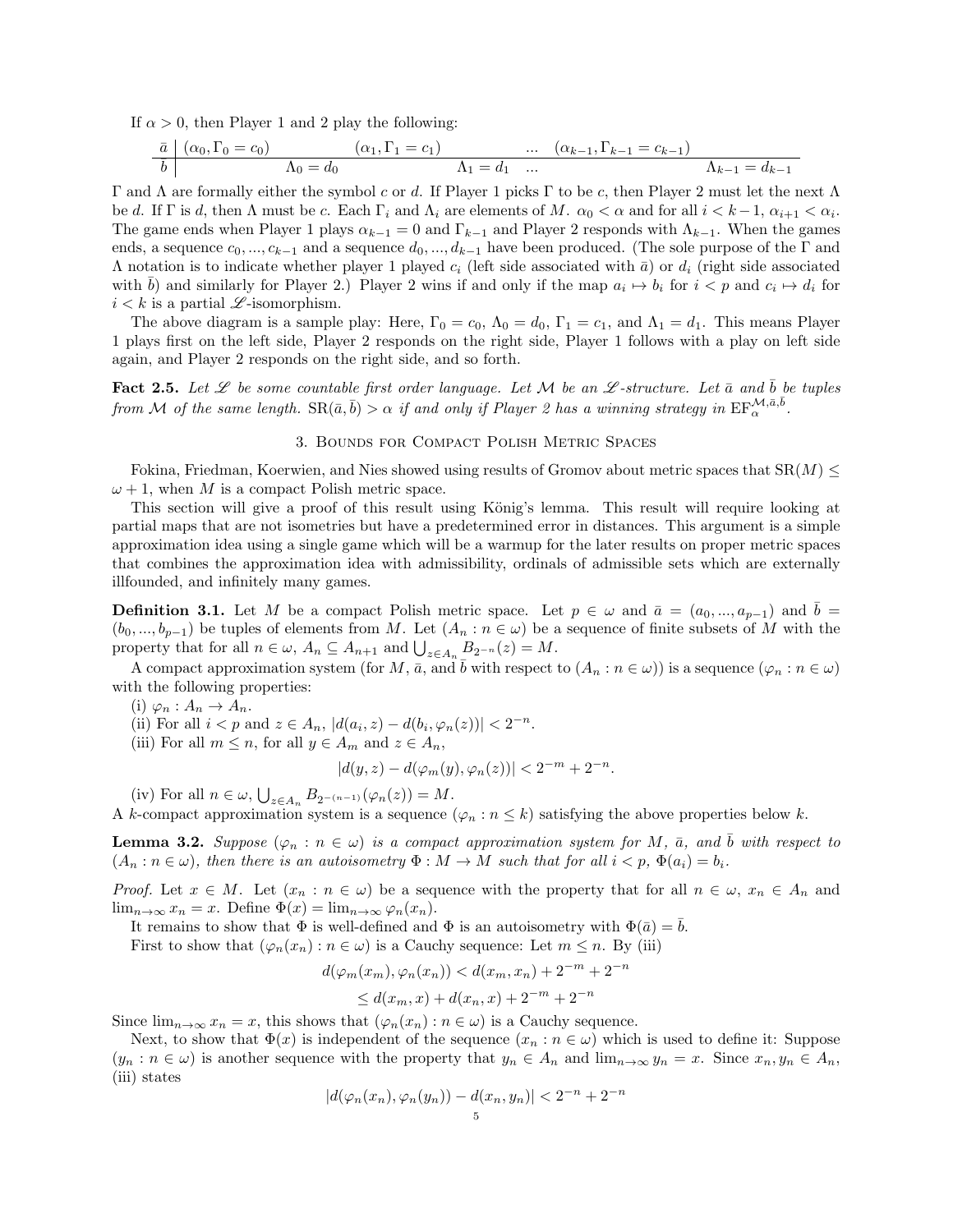If  $\alpha > 0$ , then Player 1 and 2 play the following:

$$
\begin{array}{c|cccc}\n\bar{a} & (\alpha_0, \Gamma_0 = c_0) & (\alpha_1, \Gamma_1 = c_1) & \dots & (\alpha_{k-1}, \Gamma_{k-1} = c_{k-1}) \\
\hline\nb & \Lambda_0 = d_0 & \Lambda_1 = d_1 & \dots & \Lambda_{k-1} = d_{k-1}\n\end{array}
$$

Γ and Λ are formally either the symbol c or d. If Player 1 picks Γ to be c, then Player 2 must let the next Λ be d. If  $\Gamma$  is d, then  $\Lambda$  must be c. Each  $\Gamma_i$  and  $\Lambda_i$  are elements of M.  $\alpha_0 < \alpha$  and for all  $i < k-1$ ,  $\alpha_{i+1} < \alpha_i$ . The game ends when Player 1 plays  $\alpha_{k-1} = 0$  and  $\Gamma_{k-1}$  and Player 2 responds with  $\Lambda_{k-1}$ . When the games ends, a sequence  $c_0, ..., c_{k-1}$  and a sequence  $d_0, ..., d_{k-1}$  have been produced. (The sole purpose of the  $\Gamma$  and  $Λ$  notation is to indicate whether player 1 played  $c_i$  (left side associated with  $\bar{a}$ ) or  $d_i$  (right side associated with  $\bar{b}$ ) and similarly for Player 2.) Player 2 wins if and only if the map  $a_i \mapsto b_i$  for  $i < p$  and  $c_i \mapsto d_i$  for  $i < k$  is a partial  $\mathscr L$ -isomorphism.

The above diagram is a sample play: Here,  $\Gamma_0 = c_0$ ,  $\Lambda_0 = d_0$ ,  $\Gamma_1 = c_1$ , and  $\Lambda_1 = d_1$ . This means Player 1 plays first on the left side, Player 2 responds on the right side, Player 1 follows with a play on left side again, and Player 2 responds on the right side, and so forth.

Fact 2.5. Let  $\mathscr L$  be some countable first order language. Let M be an  $\mathscr L$ -structure. Let  $\bar a$  and b be tuples from M of the same length.  $\text{SR}(\bar{a}, \bar{b}) > \alpha$  if and only if Player 2 has a winning strategy in  $\text{EF}_{\alpha}^{\mathcal{M}, \bar{a}, \bar{b}}$ .

## 3. Bounds for Compact Polish Metric Spaces

<span id="page-4-0"></span>Fokina, Friedman, Koerwien, and Nies showed using results of Gromov about metric spaces that  $SR(M) \leq$  $\omega + 1$ , when M is a compact Polish metric space.

This section will give a proof of this result using König's lemma. This result will require looking at partial maps that are not isometries but have a predetermined error in distances. This argument is a simple approximation idea using a single game which will be a warmup for the later results on proper metric spaces that combines the approximation idea with admissibility, ordinals of admissible sets which are externally illfounded, and infinitely many games.

<span id="page-4-1"></span>**Definition 3.1.** Let M be a compact Polish metric space. Let  $p \in \omega$  and  $\bar{a} = (a_0, ..., a_{p-1})$  and  $b =$  $(b_0, ..., b_{p-1})$  be tuples of elements from M. Let  $(A_n : n \in \omega)$  be a sequence of finite subsets of M with the property that for all  $n \in \omega$ ,  $A_n \subseteq A_{n+1}$  and  $\bigcup_{z \in A_n} B_{2^{-n}}(z) = M$ .

A compact approximation system (for M,  $\bar{a}$ , and  $\bar{b}$  with respect to  $(A_n : n \in \omega)$ ) is a sequence  $(\varphi_n : n \in \omega)$ with the following properties:

(i)  $\varphi_n : A_n \to A_n$ .

(ii) For all  $i < p$  and  $z \in A_n$ ,  $|d(a_i, z) - d(b_i, \varphi_n(z))| < 2^{-n}$ .

(iii) For all  $m \leq n$ , for all  $y \in A_m$  and  $z \in A_n$ ,

$$
|d(y, z) - d(\varphi_m(y), \varphi_n(z))| < 2^{-m} + 2^{-n}.
$$

(iv) For all  $n \in \omega$ ,  $\bigcup_{z \in A_n} B_{2^{-(n-1)}}(\varphi_n(z)) = M$ .

A k-compact approximation system is a sequence  $(\varphi_n : n \leq k)$  satisfying the above properties below k.

**Lemma 3.2.** Suppose  $(\varphi_n : n \in \omega)$  is a compact approximation system for M,  $\bar{a}$ , and  $\bar{b}$  with respect to  $(A_n : n \in \omega)$ , then there is an autoisometry  $\Phi : M \to M$  such that for all  $i < p$ ,  $\Phi(a_i) = b_i$ .

*Proof.* Let  $x \in M$ . Let  $(x_n : n \in \omega)$  be a sequence with the property that for all  $n \in \omega$ ,  $x_n \in A_n$  and lim<sub>n→∞</sub>  $x_n = x$ . Define  $\Phi(x) = \lim_{n \to \infty} \varphi_n(x_n)$ .

It remains to show that  $\Phi$  is well-defined and  $\Phi$  is an autoisometry with  $\Phi(\bar{a}) = \bar{b}$ .

First to show that  $(\varphi_n(x_n) : n \in \omega)$  is a Cauchy sequence: Let  $m \leq n$ . By (iii)

$$
d(\varphi_m(x_m), \varphi_n(x_n)) < d(x_m, x_n) + 2^{-m} + 2^{-n}
$$

$$
\leq d(x_m, x) + d(x_n, x) + 2^{-m} + 2^{-n}
$$

Since  $\lim_{n\to\infty} x_n = x$ , this shows that  $(\varphi_n(x_n) : n \in \omega)$  is a Cauchy sequence.

Next, to show that  $\Phi(x)$  is independent of the sequence  $(x_n : n \in \omega)$  which is used to define it: Suppose  $(y_n : n \in \omega)$  is another sequence with the property that  $y_n \in A_n$  and  $\lim_{n\to\infty} y_n = x$ . Since  $x_n, y_n \in A_n$ , (iii) states

$$
|d(\varphi_n(x_n), \varphi_n(y_n)) - d(x_n, y_n)| < 2^{-n} + 2^{-n}
$$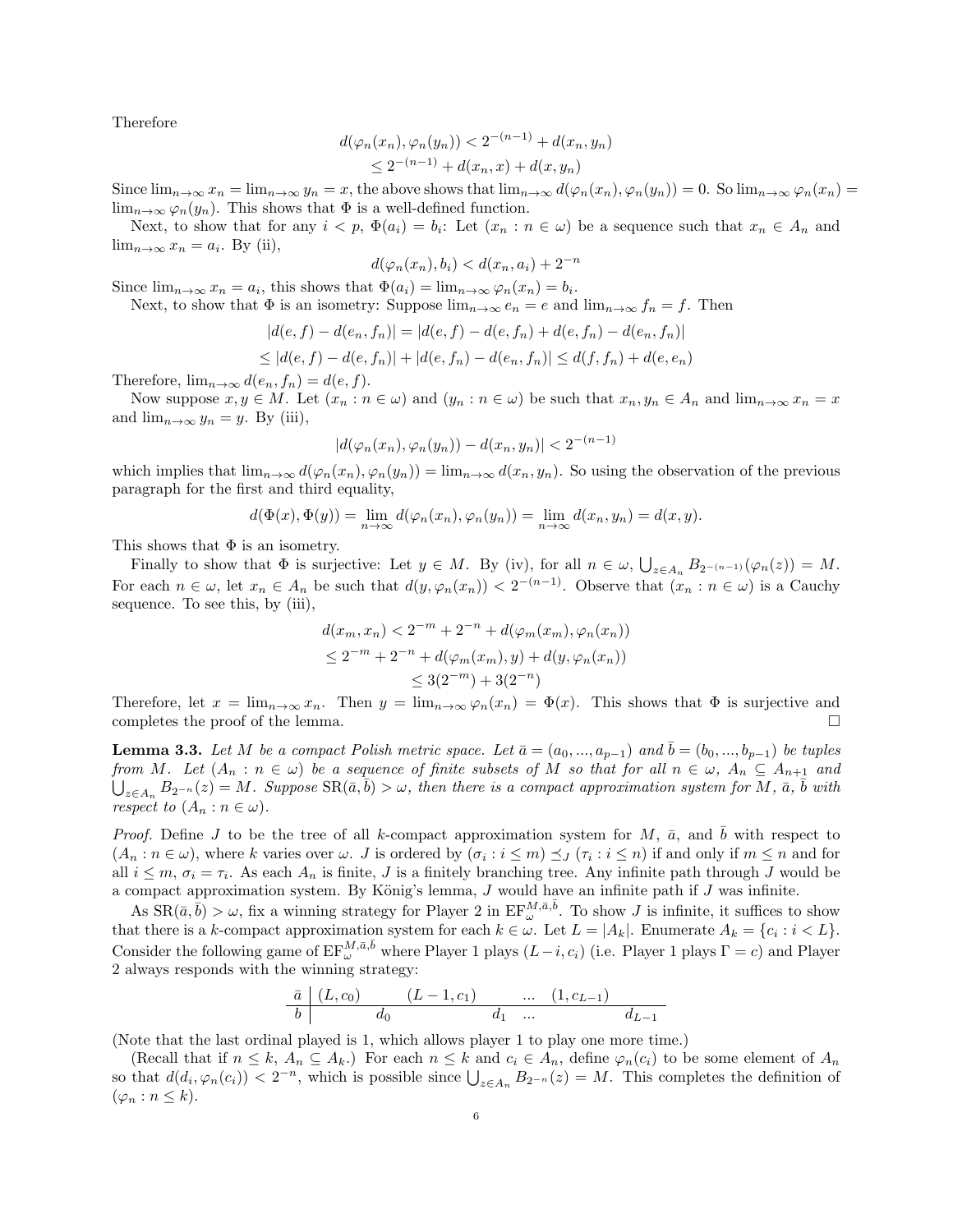Therefore

$$
d(\varphi_n(x_n), \varphi_n(y_n)) < 2^{-(n-1)} + d(x_n, y_n) \\
 \leq 2^{-(n-1)} + d(x_n, x) + d(x, y_n)
$$

Since  $\lim_{n\to\infty}x_n = \lim_{n\to\infty}y_n = x$ , the above shows that  $\lim_{n\to\infty}d(\varphi_n(x_n), \varphi_n(y_n)) = 0$ . So  $\lim_{n\to\infty}\varphi_n(x_n) = 0$ .  $\lim_{n\to\infty}\varphi_n(y_n)$ . This shows that  $\Phi$  is a well-defined function.

Next, to show that for any  $i < p$ ,  $\Phi(a_i) = b_i$ : Let  $(x_n : n \in \omega)$  be a sequence such that  $x_n \in A_n$  and  $\lim_{n\to\infty} x_n = a_i$ . By (ii),

$$
d(\varphi_n(x_n), b_i) < d(x_n, a_i) + 2^{-n}
$$

Since  $\lim_{n\to\infty} x_n = a_i$ , this shows that  $\Phi(a_i) = \lim_{n\to\infty} \varphi_n(x_n) = b_i$ .

Next, to show that  $\Phi$  is an isometry: Suppose  $\lim_{n\to\infty} e_n = e$  and  $\lim_{n\to\infty} f_n = f$ . Then

$$
|d(e, f) - d(e_n, f_n)| = |d(e, f) - d(e, f_n) + d(e, f_n) - d(e_n, f_n)|
$$

$$
\leq |d(e, f) - d(e, f_n)| + |d(e, f_n) - d(e_n, f_n)| \leq d(f, f_n) + d(e, e_n)
$$

Therefore,  $\lim_{n\to\infty} d(e_n, f_n) = d(e, f)$ .

Now suppose  $x, y \in M$ . Let  $(x_n : n \in \omega)$  and  $(y_n : n \in \omega)$  be such that  $x_n, y_n \in A_n$  and  $\lim_{n\to\infty} x_n = x$ and  $\lim_{n\to\infty} y_n = y$ . By (iii),

$$
|d(\varphi_n(x_n), \varphi_n(y_n)) - d(x_n, y_n)| < 2^{-(n-1)}
$$

which implies that  $\lim_{n\to\infty} d(\varphi_n(x_n), \varphi_n(y_n)) = \lim_{n\to\infty} d(x_n, y_n)$ . So using the observation of the previous paragraph for the first and third equality,

$$
d(\Phi(x), \Phi(y)) = \lim_{n \to \infty} d(\varphi_n(x_n), \varphi_n(y_n)) = \lim_{n \to \infty} d(x_n, y_n) = d(x, y).
$$

This shows that  $\Phi$  is an isometry.

Finally to show that  $\Phi$  is surjective: Let  $y \in M$ . By (iv), for all  $n \in \omega$ ,  $\bigcup_{z \in A_n} B_{2^{-(n-1)}}(\varphi_n(z)) = M$ . For each  $n \in \omega$ , let  $x_n \in A_n$  be such that  $d(y, \varphi_n(x_n)) < 2^{-(n-1)}$ . Observe that  $(x_n : n \in \omega)$  is a Cauchy sequence. To see this, by (iii),

$$
d(x_m, x_n) < 2^{-m} + 2^{-n} + d(\varphi_m(x_m), \varphi_n(x_n))
$$
\n
$$
\leq 2^{-m} + 2^{-n} + d(\varphi_m(x_m), y) + d(y, \varphi_n(x_n))
$$
\n
$$
\leq 3(2^{-m}) + 3(2^{-n})
$$

Therefore, let  $x = \lim_{n \to \infty} x_n$ . Then  $y = \lim_{n \to \infty} \varphi_n(x_n) = \Phi(x)$ . This shows that  $\Phi$  is surjective and completes the proof of the lemma.  $\Box$ 

**Lemma 3.3.** Let M be a compact Polish metric space. Let  $\bar{a} = (a_0, ..., a_{p-1})$  and  $\bar{b} = (b_0, ..., b_{p-1})$  be tuples from M. Let  $(A_n : n \in \omega)$  be a sequence of finite subsets of M so that for all  $n \in \omega$ ,  $A_n \subseteq A_{n+1}$  and  $\bigcup_{z\in A_n} B_{2^{-n}}(z) = M$ . Suppose  $\text{SR}(\bar{a}, \bar{b}) > \omega$ , then there is a compact approximation system for  $\overline{M}$ ,  $\bar{a}, \bar{b}$  with respect to  $(A_n : n \in \omega)$ .

*Proof.* Define J to be the tree of all k-compact approximation system for M,  $\bar{a}$ , and b with respect to  $(A_n : n \in \omega)$ , where k varies over  $\omega$ . J is ordered by  $(\sigma_i : i \leq m) \preceq_J (\tau_i : i \leq n)$  if and only if  $m \leq n$  and for all  $i \leq m$ ,  $\sigma_i = \tau_i$ . As each  $A_n$  is finite, J is a finitely branching tree. Any infinite path through J would be a compact approximation system. By König's lemma,  $J$  would have an infinite path if  $J$  was infinite.

As  $\text{SR}(\bar{a}, \bar{b}) > \omega$ , fix a winning strategy for Player 2 in  $\text{EF}_{\omega}^{M, \bar{a}, \bar{b}}$ . To show J is infinite, it suffices to show that there is a k-compact approximation system for each  $k \in \omega$ . Let  $L = |A_k|$ . Enumerate  $A_k = \{c_i : i < L\}$ . Consider the following game of  $EF_{\omega}^{M,\bar{a},\bar{b}}$  where Player 1 plays  $(L-i, c_i)$  (i.e. Player 1 plays  $\Gamma = c$ ) and Player 2 always responds with the winning strategy:

$$
\begin{array}{c|cccc}\n\bar{a} & (L, c_0) & (L-1, c_1) & \dots & (1, c_{L-1}) \\
\hline\nb & d_0 & d_1 & \dots & d_{L-1}\n\end{array}
$$

(Note that the last ordinal played is 1, which allows player 1 to play one more time.)

(Recall that if  $n \leq k$ ,  $A_n \subseteq A_k$ .) For each  $n \leq k$  and  $c_i \in A_n$ , define  $\varphi_n(c_i)$  to be some element of  $A_n$ so that  $d(d_i, \varphi_n(c_i)) < 2^{-n}$ , which is possible since  $\bigcup_{z \in A_n} B_{2^{-n}}(z) = M$ . This completes the definition of  $(\varphi_n : n \leq k).$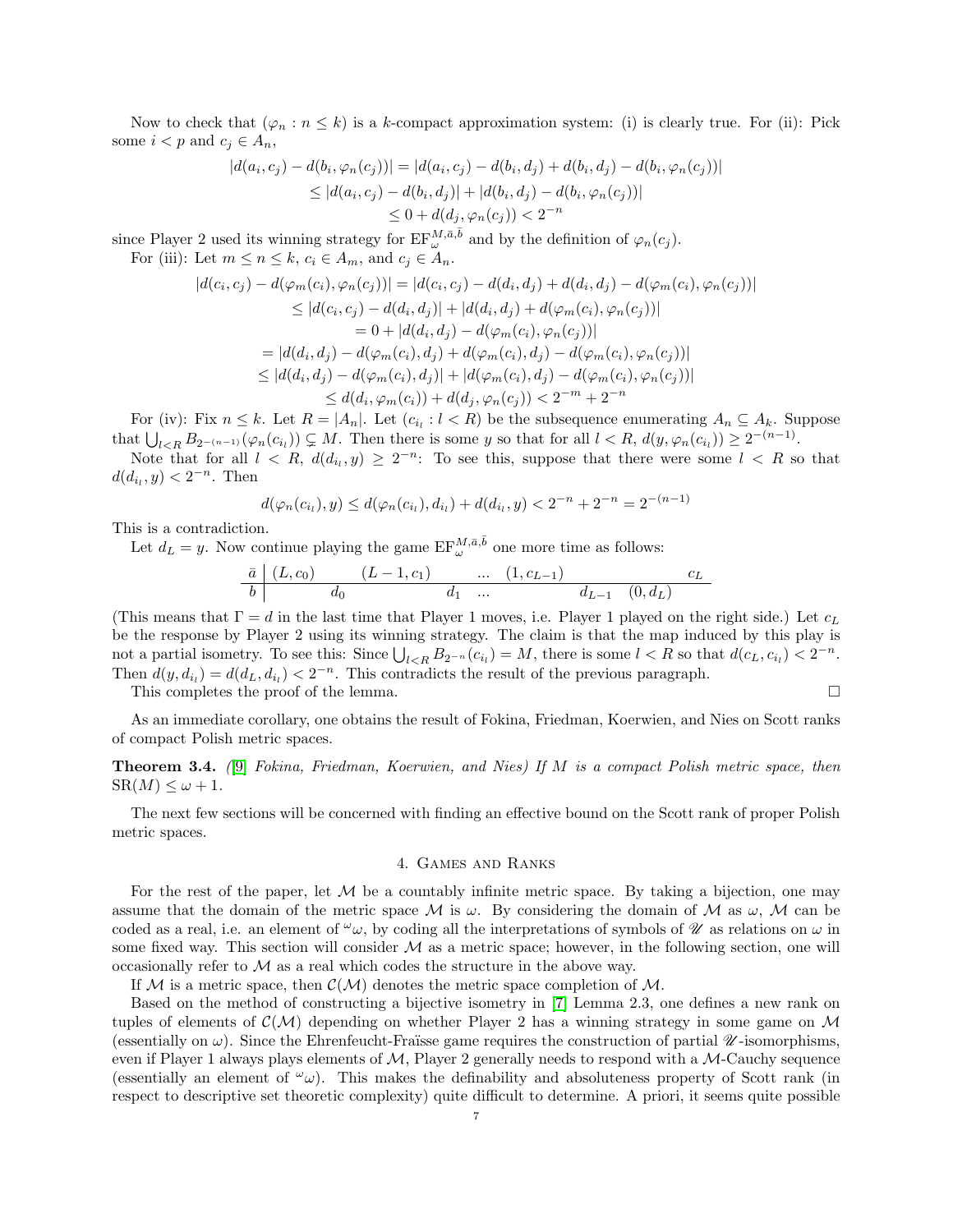Now to check that  $(\varphi_n : n \leq k)$  is a k-compact approximation system: (i) is clearly true. For (ii): Pick some  $i < p$  and  $c_j \in A_n$ ,

$$
|d(a_i, c_j) - d(b_i, \varphi_n(c_j))| = |d(a_i, c_j) - d(b_i, d_j) + d(b_i, d_j) - d(b_i, \varphi_n(c_j))|
$$
  
\n
$$
\leq |d(a_i, c_j) - d(b_i, d_j)| + |d(b_i, d_j) - d(b_i, \varphi_n(c_j))|
$$
  
\n
$$
\leq 0 + d(d_j, \varphi_n(c_j)) < 2^{-n}
$$

since Player 2 used its winning strategy for  $\text{EF}_{\omega}^{M,\bar{a},\bar{b}}$  and by the definition of  $\varphi_n(c_j)$ .

For (iii): Let  $m \le n \le k$ ,  $c_i \in A_m$ , and  $c_j \in \mathring{A}_n$ .

$$
|d(c_i, c_j) - d(\varphi_m(c_i), \varphi_n(c_j))| = |d(c_i, c_j) - d(d_i, d_j) + d(d_i, d_j) - d(\varphi_m(c_i), \varphi_n(c_j))|
$$
  
\n
$$
\leq |d(c_i, c_j) - d(d_i, d_j)| + |d(d_i, d_j) + d(\varphi_m(c_i), \varphi_n(c_j))|
$$
  
\n
$$
= 0 + |d(d_i, d_j) - d(\varphi_m(c_i), \varphi_n(c_j))|
$$
  
\n
$$
= |d(d_i, d_j) - d(\varphi_m(c_i), d_j) + d(\varphi_m(c_i), d_j) - d(\varphi_m(c_i), \varphi_n(c_j))|
$$
  
\n
$$
\leq |d(d_i, d_j) - d(\varphi_m(c_i), d_j)| + |d(\varphi_m(c_i), d_j) - d(\varphi_m(c_i), \varphi_n(c_j))|
$$
  
\n
$$
\leq d(d_i, \varphi_m(c_i)) + d(d_j, \varphi_n(c_j)) < 2^{-m} + 2^{-n}
$$

For (iv): Fix  $n \leq k$ . Let  $R = |A_n|$ . Let  $(c_{i_l} : l \lt R)$  be the subsequence enumerating  $A_n \subseteq A_k$ . Suppose that  $\bigcup_{l \leq R} B_{2^{-(n-1)}}(\varphi_n(c_{i_l})) \subsetneq M$ . Then there is some y so that for all  $l < R$ ,  $d(y, \varphi_n(c_{i_l})) \geq 2^{-(n-1)}$ .

Note that for all  $l \leq R$ ,  $d(d_{i_l}, y) \geq 2^{-n}$ : To see this, suppose that there were some  $l \leq R$  so that  $d(d_{i_l}, y) < 2^{-n}$ . Then

$$
d(\varphi_n(c_{i_l}), y) \le d(\varphi_n(c_{i_l}), d_{i_l}) + d(d_{i_l}, y) < 2^{-n} + 2^{-n} = 2^{-(n-1)}
$$

This is a contradiction.

Let  $d_L = y$ . Now continue playing the game  $\text{EF}_{\omega}^{M,\bar{a},\bar{b}}$  one more time as follows:

$$
\begin{array}{c|cccccc}\n\bar{a} & (L, c_0) & (L-1, c_1) & \dots & (1, c_{L-1}) & c_L \\
\hline\nb & d_0 & d_1 & \dots & d_{L-1} & (0, d_L)\n\end{array}
$$

(This means that  $\Gamma = d$  in the last time that Player 1 moves, i.e. Player 1 played on the right side.) Let  $c<sub>L</sub>$ be the response by Player 2 using its winning strategy. The claim is that the map induced by this play is not a partial isometry. To see this: Since  $\bigcup_{l \le R} B_{2^{-n}}(c_{i_l}) = M$ , there is some  $l < R$  so that  $d(c_L, c_{i_l}) < 2^{-n}$ . Then  $d(y, d_{i_l}) = d(d_L, d_{i_l}) < 2^{-n}$ . This contradicts the result of the previous paragraph.

This completes the proof of the lemma.

As an immediate corollary, one obtains the result of Fokina, Friedman, Koerwien, and Nies on Scott ranks of compact Polish metric spaces.

<span id="page-6-0"></span>Theorem 3.4. ([\[9\]](#page-14-3) Fokina, Friedman, Koerwien, and Nies) If M is a compact Polish metric space, then  $SR(M) \leq \omega + 1.$ 

The next few sections will be concerned with finding an effective bound on the Scott rank of proper Polish metric spaces.

# 4. Games and Ranks

<span id="page-6-1"></span>For the rest of the paper, let  $M$  be a countably infinite metric space. By taking a bijection, one may assume that the domain of the metric space M is  $\omega$ . By considering the domain of M as  $\omega$ , M can be coded as a real, i.e. an element of  $\omega_{\omega}$ , by coding all the interpretations of symbols of  $\mathscr U$  as relations on  $\omega$  in some fixed way. This section will consider  $M$  as a metric space; however, in the following section, one will occasionally refer to  $\mathcal M$  as a real which codes the structure in the above way.

If M is a metric space, then  $\mathcal{C}(\mathcal{M})$  denotes the metric space completion of M.

Based on the method of constructing a bijective isometry in [\[7\]](#page-14-4) Lemma 2.3, one defines a new rank on tuples of elements of  $\mathcal{C}(\mathcal{M})$  depending on whether Player 2 has a winning strategy in some game on M (essentially on  $\omega$ ). Since the Ehrenfeucht-Fraïsse game requires the construction of partial  $\mathscr U$ -isomorphisms, even if Player 1 always plays elements of  $M$ , Player 2 generally needs to respond with a  $M$ -Cauchy sequence (essentially an element of  $\omega_{\omega}$ ). This makes the definability and absoluteness property of Scott rank (in respect to descriptive set theoretic complexity) quite difficult to determine. A priori, it seems quite possible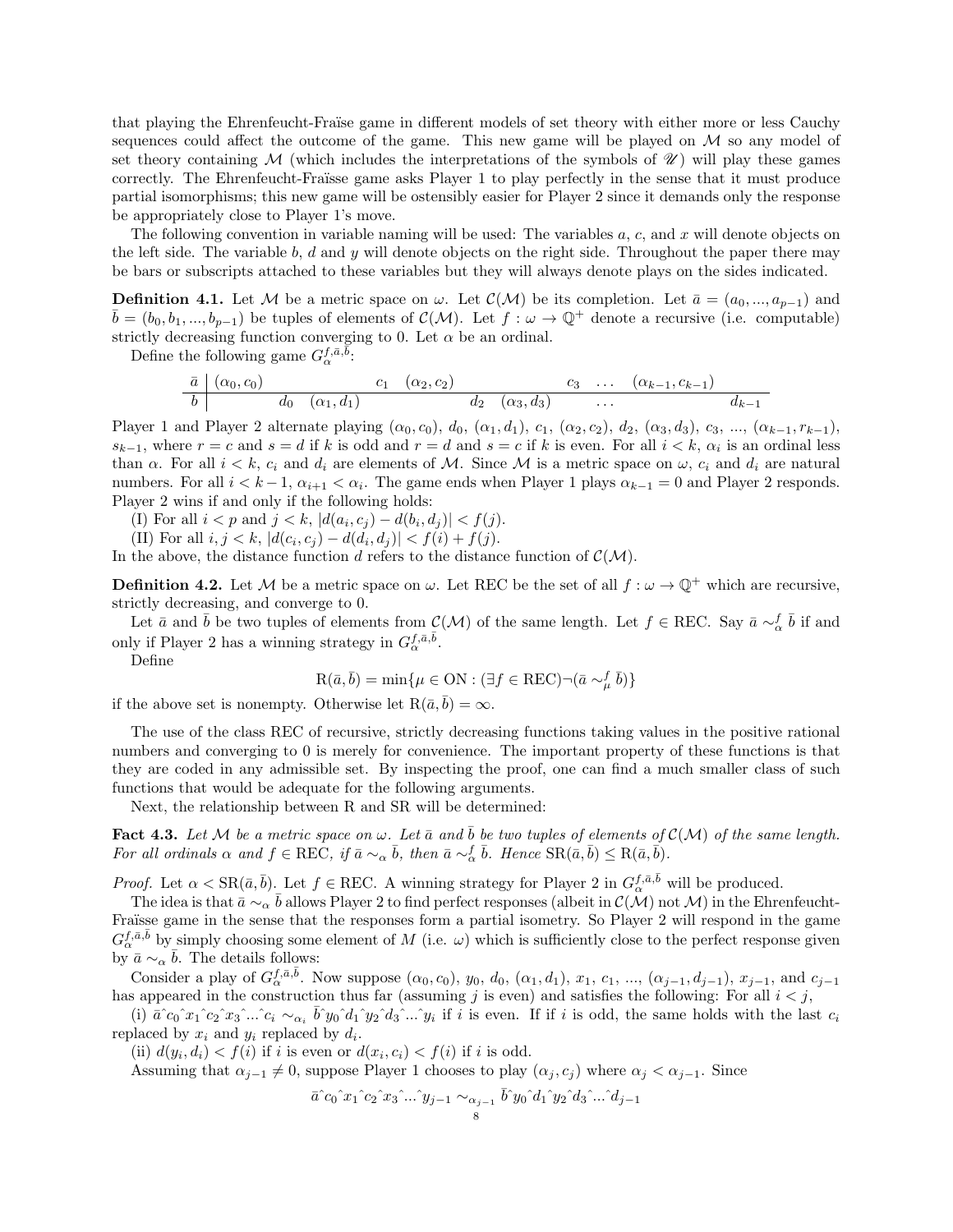that playing the Ehrenfeucht-Fraïse game in different models of set theory with either more or less Cauchy sequences could affect the outcome of the game. This new game will be played on  $M$  so any model of set theory containing M (which includes the interpretations of the symbols of  $\mathcal{U}$ ) will play these games correctly. The Ehrenfeucht-Fraüsse game asks Player 1 to play perfectly in the sense that it must produce partial isomorphisms; this new game will be ostensibly easier for Player 2 since it demands only the response be appropriately close to Player 1's move.

The following convention in variable naming will be used: The variables  $a, c$ , and  $x$  will denote objects on the left side. The variable b, d and y will denote objects on the right side. Throughout the paper there may be bars or subscripts attached to these variables but they will always denote plays on the sides indicated.

<span id="page-7-0"></span>**Definition 4.1.** Let M be a metric space on  $\omega$ . Let  $\mathcal{C}(\mathcal{M})$  be its completion. Let  $\bar{a} = (a_0, ..., a_{p-1})$  and  $\bar{b} = (b_0, b_1, ..., b_{p-1})$  be tuples of elements of  $\mathcal{C}(\mathcal{M})$ . Let  $f : \omega \to \mathbb{Q}^+$  denote a recursive (i.e. computable) strictly decreasing function converging to 0. Let  $\alpha$  be an ordinal.

Define the following game  $G_{\alpha}^{f,\bar{a},\bar{\tilde{b}}}:$ 

$$
\begin{array}{c|ccccccccc}\n\bar{a} & (\alpha_0, c_0) & c_1 & (\alpha_2, c_2) & c_3 & \dots & (\alpha_{k-1}, c_{k-1}) \\
\hline\nb & d_0 & (\alpha_1, d_1) & d_2 & (\alpha_3, d_3) & \dots & d_{k-1}\n\end{array}
$$

Player 1 and Player 2 alternate playing  $(\alpha_0, c_0)$ ,  $d_0$ ,  $(\alpha_1, d_1)$ ,  $c_1$ ,  $(\alpha_2, c_2)$ ,  $d_2$ ,  $(\alpha_3, d_3)$ ,  $c_3$ , ...,  $(\alpha_{k-1}, r_{k-1})$ ,  $s_{k-1}$ , where  $r = c$  and  $s = d$  if k is odd and  $r = d$  and  $s = c$  if k is even. For all  $i < k$ ,  $\alpha_i$  is an ordinal less than  $\alpha$ . For all  $i < k$ ,  $c_i$  and  $d_i$  are elements of M. Since M is a metric space on  $\omega$ ,  $c_i$  and  $d_i$  are natural numbers. For all  $i < k-1$ ,  $\alpha_{i+1} < \alpha_i$ . The game ends when Player 1 plays  $\alpha_{k-1} = 0$  and Player 2 responds. Player 2 wins if and only if the following holds:

(I) For all  $i < p$  and  $j < k$ ,  $|d(a_i, c_j) - d(b_i, d_j)| < f(j)$ .

(II) For all  $i, j < k$ ,  $|d(c_i, c_j) - d(d_i, d_j)| < f(i) + f(j)$ .

In the above, the distance function d refers to the distance function of  $\mathcal{C}(\mathcal{M})$ .

**Definition 4.2.** Let M be a metric space on  $\omega$ . Let REC be the set of all  $f : \omega \to \mathbb{Q}^+$  which are recursive, strictly decreasing, and converge to 0.

Let  $\bar{a}$  and  $\bar{b}$  be two tuples of elements from  $\mathcal{C}(\mathcal{M})$  of the same length. Let  $f \in \text{REC}$ . Say  $\bar{a} \sim_{\alpha}^f \bar{b}$  if and only if Player 2 has a winning strategy in  $G_{\alpha}^{f, \bar{a}, \bar{b}}$ .

Define

$$
R(\bar{a}, \bar{b}) = \min\{\mu \in ON : (\exists f \in REC) \neg (\bar{a} \sim^f_{\mu} \bar{b})\}
$$

if the above set is nonempty. Otherwise let  $R(\bar{a}, \bar{b}) = \infty$ .

The use of the class REC of recursive, strictly decreasing functions taking values in the positive rational numbers and converging to 0 is merely for convenience. The important property of these functions is that they are coded in any admissible set. By inspecting the proof, one can find a much smaller class of such functions that would be adequate for the following arguments.

Next, the relationship between R and SR will be determined:

**Fact 4.3.** Let M be a metric space on  $\omega$ . Let  $\bar{a}$  and  $\bar{b}$  be two tuples of elements of  $\mathcal{C}(\mathcal{M})$  of the same length. For all ordinals  $\alpha$  and  $f \in \text{REC}$ , if  $\bar{a} \sim_{\alpha} \bar{b}$ , then  $\bar{a} \sim_{\alpha}^f \bar{b}$ . Hence  $\text{SR}(\bar{a}, \bar{b}) \leq \text{R}(\bar{a}, \bar{b})$ .

*Proof.* Let  $\alpha < \text{SR}(\bar{a}, \bar{b})$ . Let  $f \in \text{REC}$ . A winning strategy for Player 2 in  $G_{\alpha}^{f, \bar{a}, \bar{b}}$  will be produced.

The idea is that  $\bar{a} \sim_{\alpha} \bar{b}$  allows Player 2 to find perfect responses (albeit in  $\mathcal{C}(\mathcal{M})$  not  $\mathcal{M}$ ) in the Ehrenfeucht-Fraïsse game in the sense that the responses form a partial isometry. So Player 2 will respond in the game  $G_{\alpha}^{f,\bar{\alpha},\bar{b}}$  by simply choosing some element of M (i.e.  $\omega$ ) which is sufficiently close to the perfect response given by  $\bar{a} \sim_{\alpha} \bar{b}$ . The details follows:

Consider a play of  $G_{\alpha}^{f, \bar{\alpha}, \bar{b}}$ . Now suppose  $(\alpha_0, c_0)$ ,  $y_0, d_0, (\alpha_1, d_1), x_1, c_1, ..., (\alpha_{j-1}, d_{j-1}), x_{j-1}$ , and  $c_{j-1}$ has appeared in the construction thus far (assuming j is even) and satisfies the following: For all  $i < j$ ,

(i)  $\bar{a}^c c_0^r x_1^c c_2^c x_3^c ... c_i \sim_{\alpha_i} \bar{b}^c y_0^c d_1^c y_2^c d_3^c ... y_i$  if i is even. If if i is odd, the same holds with the last  $c_i$ replaced by  $x_i$  and  $y_i$  replaced by  $d_i$ .

(ii)  $d(y_i, d_i) < f(i)$  if i is even or  $d(x_i, c_i) < f(i)$  if i is odd.

Assuming that  $\alpha_{i-1} \neq 0$ , suppose Player 1 chooses to play  $(\alpha_i, c_i)$  where  $\alpha_i < \alpha_{i-1}$ . Since

$$
\bar{a}^{\hat{}}c_0\hat{a}x_1\hat{c}_2\hat{a}x_3\hat{...}\hat{y}_{j-1} \sim_{\alpha_{j-1}} \bar{b}^{\hat{}}y_0\hat{a}x_1\hat{y}_2\hat{a}x_3\hat{...}\hat{d}_{j-1}
$$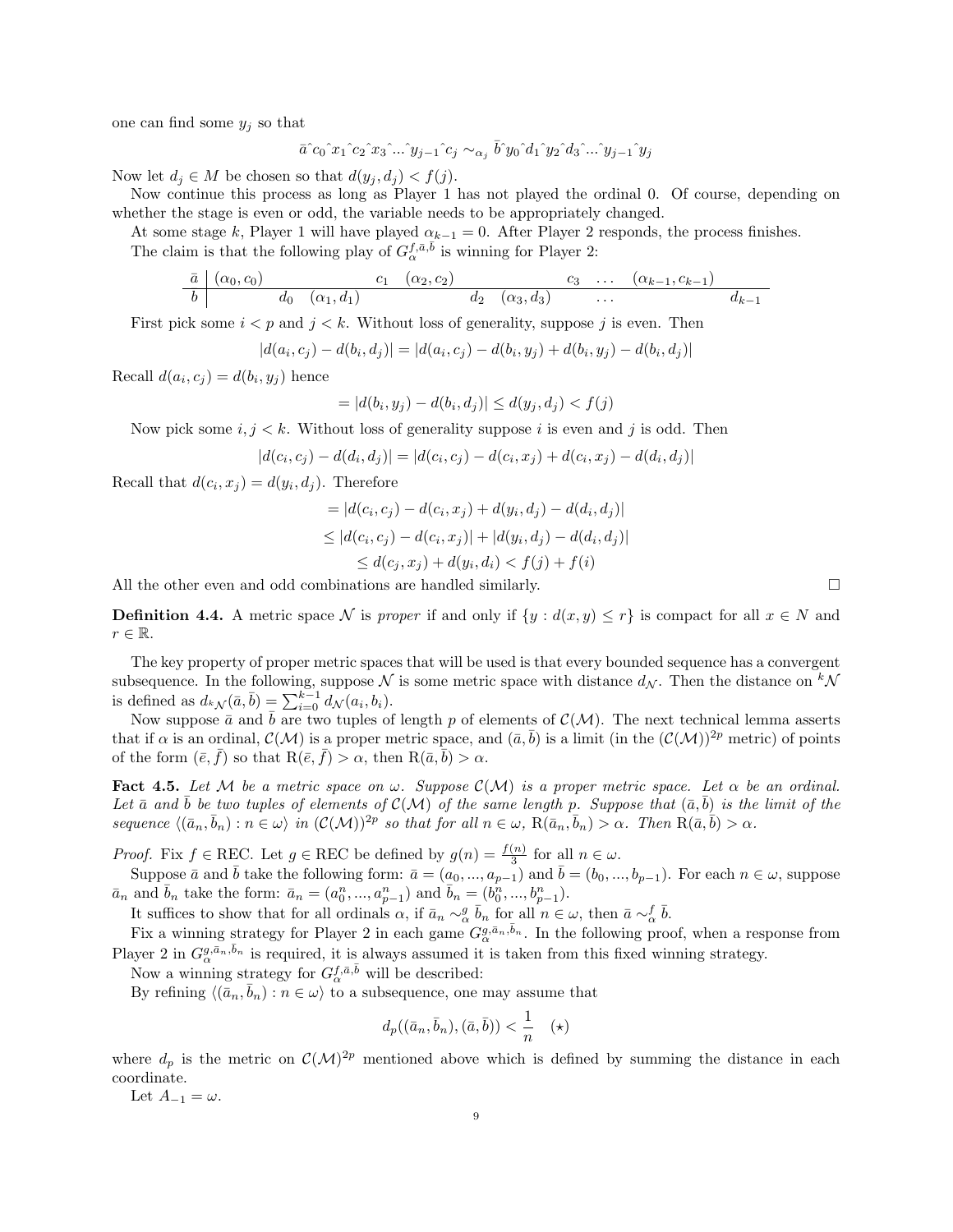one can find some  $y_i$  so that

$$
\bar{a}^{\hat{}}c_0\hat{~}x_1\hat{~}c_2\hat{~}x_3\hat{~}...\hat{~}y_{j-1}\hat{~}c_j\sim_{\alpha_j}\bar{b}^{\hat{}}y_0\hat{~}d_1\hat{~}y_2\hat{~}d_3\hat{~}...\hat{~}y_{j-1}\hat{~}y_j
$$

Now let  $d_j \in M$  be chosen so that  $d(y_j, d_j) < f(j)$ .

Now continue this process as long as Player 1 has not played the ordinal 0. Of course, depending on whether the stage is even or odd, the variable needs to be appropriately changed.

At some stage k, Player 1 will have played  $\alpha_{k-1} = 0$ . After Player 2 responds, the process finishes.

The claim is that the following play of  $G_{\alpha}^{f, \bar{a}, \bar{b}}$  is winning for Player 2:

$$
\begin{array}{c|ccccccccc}\n\bar{a} & (\alpha_0, c_0) & c_1 & (\alpha_2, c_2) & c_3 & \dots & (\alpha_{k-1}, c_{k-1}) \\
\hline\nb & d_0 & (\alpha_1, d_1) & d_2 & (\alpha_3, d_3) & \dots & d_{k-1} \\
\end{array}
$$

First pick some  $i < p$  and  $j < k$ . Without loss of generality, suppose j is even. Then

$$
|d(a_i, c_j) - d(b_i, d_j)| = |d(a_i, c_j) - d(b_i, y_j) + d(b_i, y_j) - d(b_i, d_j)|
$$

Recall  $d(a_i, c_j) = d(b_i, y_j)$  hence

$$
= |d(b_i, y_j) - d(b_i, d_j)| \le d(y_j, d_j) < f(j)
$$

Now pick some  $i, j \leq k$ . Without loss of generality suppose i is even and j is odd. Then

$$
|d(c_i, c_j) - d(d_i, d_j)| = |d(c_i, c_j) - d(c_i, x_j) + d(c_i, x_j) - d(d_i, d_j)|
$$

Recall that  $d(c_i, x_j) = d(y_i, d_j)$ . Therefore

$$
= |d(c_i, c_j) - d(c_i, x_j) + d(y_i, d_j) - d(d_i, d_j)|
$$
  
\n
$$
\leq |d(c_i, c_j) - d(c_i, x_j)| + |d(y_i, d_j) - d(d_i, d_j)|
$$
  
\n
$$
\leq d(c_j, x_j) + d(y_i, d_i) < f(j) + f(i)
$$

All the other even and odd combinations are handled similarly.

**Definition 4.4.** A metric space N is proper if and only if  $\{y : d(x,y) \leq r\}$  is compact for all  $x \in N$  and  $r \in \mathbb{R}$ .

The key property of proper metric spaces that will be used is that every bounded sequence has a convergent subsequence. In the following, suppose  $\mathcal N$  is some metric space with distance  $d_{\mathcal N}$ . Then the distance on  ${}^k \mathcal N$ is defined as  $d_{k,\mathcal{N}}(\bar{a},\bar{b}) = \sum_{i=0}^{k-1} d_{\mathcal{N}}(a_i, b_i)$ .

Now suppose  $\bar{a}$  and  $\bar{b}$  are two tuples of length p of elements of  $\mathcal{C}(\mathcal{M})$ . The next technical lemma asserts that if  $\alpha$  is an ordinal,  $\mathcal{C}(\mathcal{M})$  is a proper metric space, and  $(\bar{a}, \bar{b})$  is a limit (in the  $(\mathcal{C}(\mathcal{M}))^{2p}$  metric) of points of the form  $(\bar{e}, \bar{f})$  so that  $R(\bar{e}, \bar{f}) > \alpha$ , then  $R(\bar{a}, \bar{b}) > \alpha$ .

<span id="page-8-0"></span>Fact 4.5. Let M be a metric space on  $\omega$ . Suppose  $\mathcal{C}(\mathcal{M})$  is a proper metric space. Let  $\alpha$  be an ordinal. Let  $\bar{a}$  and  $\bar{b}$  be two tuples of elements of  $\mathcal{C}(\mathcal{M})$  of the same length p. Suppose that  $(\bar{a}, \bar{b})$  is the limit of the sequence  $\langle (\bar{a}_n, \bar{b}_n) : n \in \omega \rangle$  in  $(C(\mathcal{M}))^{2p}$  so that for all  $n \in \omega$ ,  $R(\bar{a}_n, \bar{b}_n) > \alpha$ . Then  $R(\bar{a}, \bar{b}) > \alpha$ .

*Proof.* Fix  $f \in \text{REC}$ . Let  $g \in \text{REC}$  be defined by  $g(n) = \frac{f(n)}{3}$  for all  $n \in \omega$ .

Suppose  $\bar{a}$  and  $\bar{b}$  take the following form:  $\bar{a} = (a_0, ..., a_{p-1})$  and  $\bar{b} = (b_0, ..., b_{p-1})$ . For each  $n \in \omega$ , suppose  $\bar{a}_n$  and  $\bar{b}_n$  take the form:  $\bar{a}_n = (a_0^n, ..., a_{p-1}^n)$  and  $\bar{b}_n = (b_0^n, ..., b_{p-1}^n)$ .

It suffices to show that for all ordinals  $\alpha$ , if  $\bar{a}_n \sim_{\alpha}^g \bar{b}_n$  for all  $n \in \omega$ , then  $\bar{a} \sim_{\alpha}^f \bar{b}$ .

Fix a winning strategy for Player 2 in each game  $G_{\alpha}^{g,\bar{a}_n,\bar{b}_n}$ . In the following proof, when a response from Player 2 in  $G_{\alpha}^{g,\bar{a}_n,\bar{b}_n}$  is required, it is always assumed it is taken from this fixed winning strategy.

Now a winning strategy for  $G_{\alpha}^{f, \bar{\alpha}, \bar{b}}$  will be described:

By refining  $\langle (\bar{a}_n, \bar{b}_n) : n \in \omega \rangle$  to a subsequence, one may assume that

$$
d_p((\bar{a}_n, \bar{b}_n), (\bar{a}, \bar{b})) < \frac{1}{n} \quad (*)
$$

where  $d_p$  is the metric on  $\mathcal{C}(\mathcal{M})^{2p}$  mentioned above which is defined by summing the distance in each coordinate.

Let  $A_{-1} = \omega$ .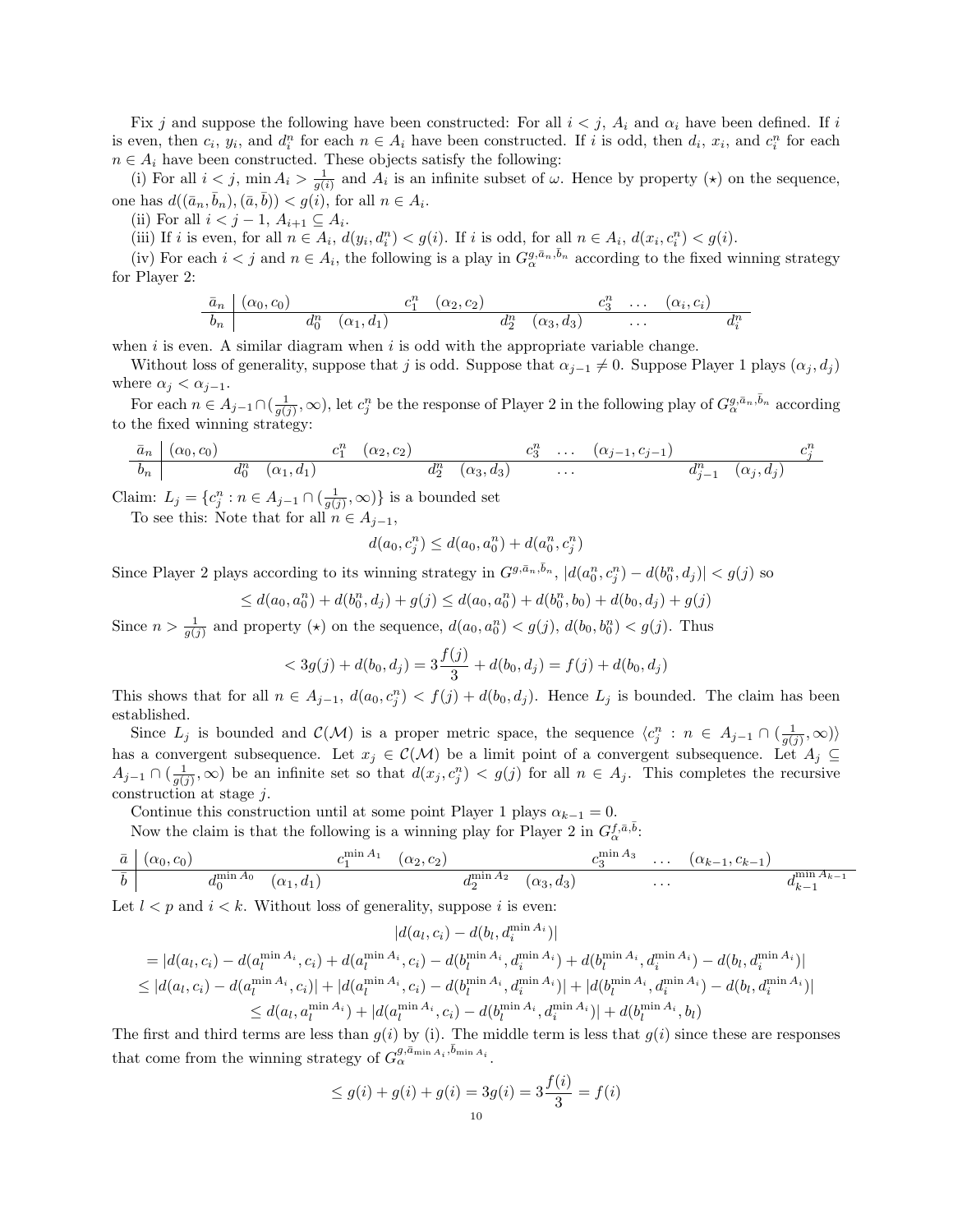Fix j and suppose the following have been constructed: For all  $i < j$ ,  $A_i$  and  $\alpha_i$  have been defined. If i is even, then  $c_i$ ,  $y_i$ , and  $d_i^n$  for each  $n \in A_i$  have been constructed. If i is odd, then  $d_i$ ,  $x_i$ , and  $c_i^n$  for each  $n \in A_i$  have been constructed. These objects satisfy the following:

(i) For all  $i < j$ , min  $A_i > \frac{1}{g(i)}$  and  $A_i$  is an infinite subset of  $\omega$ . Hence by property  $(\star)$  on the sequence, one has  $d((\bar{a}_n, \bar{b}_n),(\bar{a}, \bar{b})) < g(\tilde{i}),$  for all  $n \in A_i$ .

(ii) For all  $i < j-1$ ,  $A_{i+1} \subseteq A_i$ .

(iii) If i is even, for all  $n \in A_i$ ,  $d(y_i, d_i^n) < g(i)$ . If i is odd, for all  $n \in A_i$ ,  $d(x_i, c_i^n) < g(i)$ .

(iv) For each  $i < j$  and  $n \in A_i$ , the following is a play in  $G_{\alpha}^{g,\bar{a}_n,\bar{b}_n}$  according to the fixed winning strategy for Player 2:

$$
\frac{\bar{a}_n \mid (\alpha_0, c_0)}{\bar{b}_n \mid} \frac{c_0^n \quad (\alpha_1, d_1)}{d_0^n \quad (\alpha_1, d_1)} \frac{c_1^n \quad (\alpha_2, c_2)}{d_2^n \quad (\alpha_3, d_3)} \dots \frac{c_3^n \quad \dots \quad (\alpha_i, c_i)}{d_i^n}
$$

when  $i$  is even. A similar diagram when  $i$  is odd with the appropriate variable change.

Without loss of generality, suppose that j is odd. Suppose that  $\alpha_{j-1} \neq 0$ . Suppose Player 1 plays  $(\alpha_j, d_j)$ where  $\alpha_j < \alpha_{j-1}$ .

For each  $n \in A_{j-1} \cap (\frac{1}{g(j)}, \infty)$ , let  $c_j^n$  be the response of Player 2 in the following play of  $G_{\alpha}^{g,\bar{a}_n,\bar{b}_n}$  according to the fixed winning strategy:

$$
\begin{array}{c|ccccccccc}\n\bar{a}_n & (\alpha_0, c_0) & c_1^n & (\alpha_2, c_2) & c_3^n & \dots & (\alpha_{j-1}, c_{j-1}) & c_j^n \\
\hline\nb_n & d_0^n & (\alpha_1, d_1) & d_2^n & (\alpha_3, d_3) & \dots & d_{j-1}^n & (\alpha_j, d_j)\n\end{array}
$$

Claim:  $L_j = \{c_j^n : n \in A_{j-1} \cap (\frac{1}{g(j)}, \infty)\}\$ is a bounded set

To see this: Note that for all  $n \in A_{j-1}$ ,

$$
d(a_0, c_j^n) \le d(a_0, a_0^n) + d(a_0^n, c_j^n)
$$

Since Player 2 plays according to its winning strategy in  $G^{g,\bar{a}_n,\bar{b}_n}$ ,  $|d(a_0^n,c_j^n)-d(b_0^n,d_j)| < g(j)$  so

$$
\leq d(a_0, a_0^n) + d(b_0^n, d_j) + g(j) \leq d(a_0, a_0^n) + d(b_0^n, b_0) + d(b_0, d_j) + g(j)
$$

Since  $n > \frac{1}{g(j)}$  and property (\*) on the sequence,  $d(a_0, a_0^n) < g(j)$ ,  $d(b_0, b_0^n) < g(j)$ . Thus

$$
\langle 3g(j) + d(b_0, d_j) = 3\frac{f(j)}{3} + d(b_0, d_j) = f(j) + d(b_0, d_j)
$$

This shows that for all  $n \in A_{j-1}$ ,  $d(a_0, c_j^n) < f(j) + d(b_0, d_j)$ . Hence  $L_j$  is bounded. The claim has been established.

Since  $L_j$  is bounded and  $\mathcal{C}(\mathcal{M})$  is a proper metric space, the sequence  $\langle c_j^n : n \in A_{j-1} \cap (\frac{1}{g(j)}, \infty) \rangle$ has a convergent subsequence. Let  $x_j \in \mathcal{C}(\mathcal{M})$  be a limit point of a convergent subsequence. Let  $A_j \subseteq$  $A_{j-1} \cap (\frac{1}{g(j)}, \infty)$  be an infinite set so that  $d(x_j, c_j^n) < g(j)$  for all  $n \in A_j$ . This completes the recursive construction at stage  $j$ .

Continue this construction until at some point Player 1 plays  $\alpha_{k-1} = 0$ .

Now the claim is that the following is a winning play for Player 2 in  $G_{\alpha}^{f,\bar{a},\bar{b}}$ .

$$
\frac{\bar{a} \mid (\alpha_0, c_0)}{\bar{b} \mid} \frac{d_0^{\min A_0} \quad (\alpha_1, d_1)}{d_0^{\min A_0} \quad (\alpha_1, d_1)} \frac{c_1^{\min A_1} \quad (\alpha_2, c_2)}{d_2^{\min A_2} \quad (\alpha_3, d_3)} \dots \frac{(a_{k-1}, c_{k-1})}{d_{k-1}^{\min A_{k-1}}}
$$

Let  $l < p$  and  $i < k$ . Without loss of generality, suppose i is even:

$$
|d(a_l, c_i) - d(b_l, d_i^{\min A_i})|
$$
  
\n
$$
= |d(a_l, c_i) - d(a_l^{\min A_i}, c_i) + d(a_l^{\min A_i}, c_i) - d(b_l^{\min A_i}, d_i^{\min A_i}) + d(b_l^{\min A_i}, d_i^{\min A_i}) - d(b_l, d_i^{\min A_i})|
$$
  
\n
$$
\leq |d(a_l, c_i) - d(a_l^{\min A_i}, c_i)| + |d(a_l^{\min A_i}, c_i) - d(b_l^{\min A_i}, d_i^{\min A_i})| + |d(b_l^{\min A_i}, d_i^{\min A_i}) - d(b_l, d_i^{\min A_i})|
$$
  
\n
$$
\leq d(a_l, a_l^{\min A_i}) + |d(a_l^{\min A_i}, c_i) - d(b_l^{\min A_i}, d_i^{\min A_i})| + d(b_l^{\min A_i}, b_l)
$$

The first and third terms are less than  $g(i)$  by (i). The middle term is less that  $g(i)$  since these are responses that come from the winning strategy of  $G_{\alpha}^{g,\bar{a}_{\min A_i},\bar{b}_{\min A_i}}$ .

$$
\leq g(i) + g(i) + g(i) = 3g(i) = 3\frac{f(i)}{3} = f(i)
$$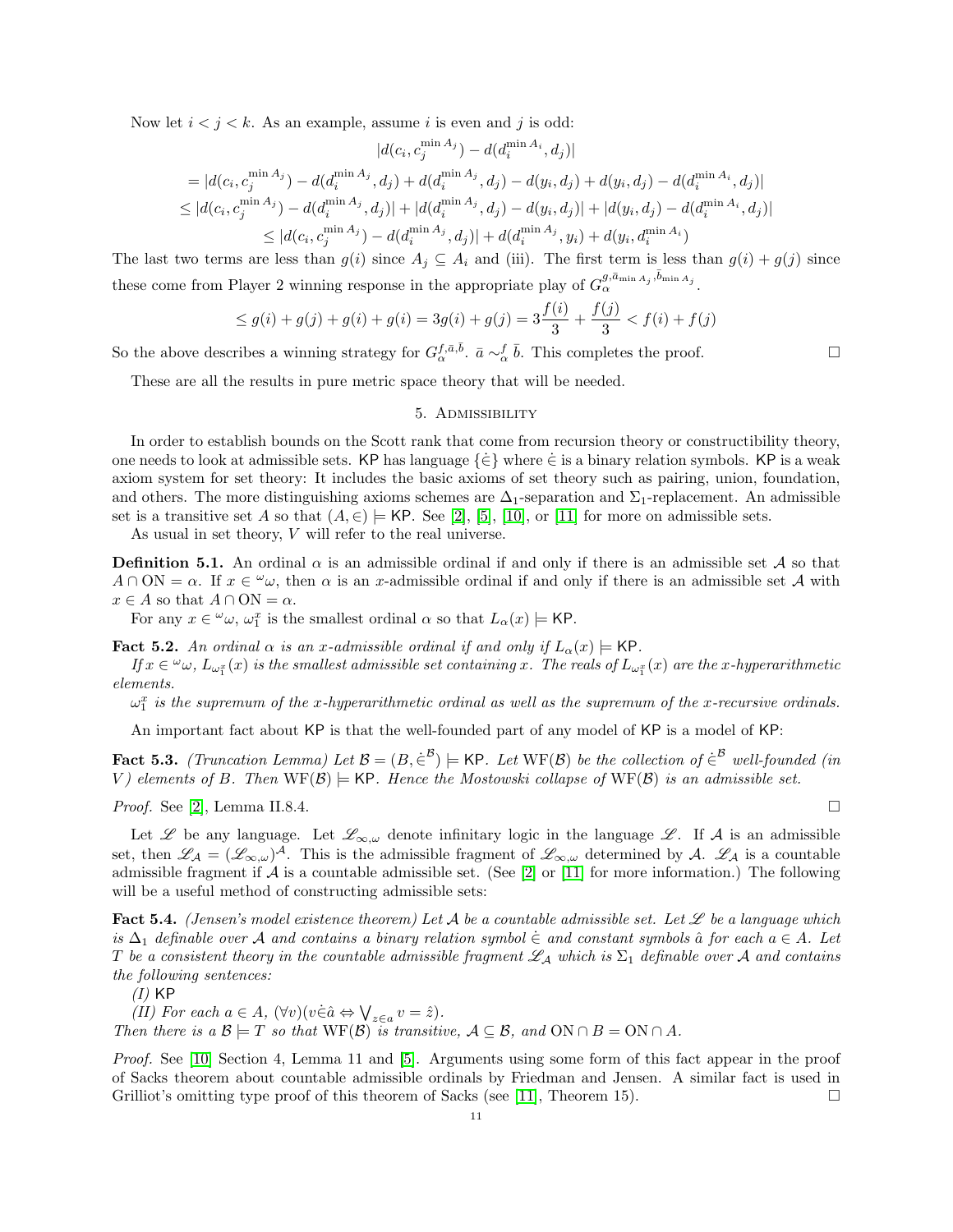Now let  $i < j < k$ . As an example, assume i is even and j is odd:

$$
|d(c_i, c_j^{\min A_j}) - d(d_i^{\min A_i}, d_j)|
$$
  
\n
$$
= |d(c_i, c_j^{\min A_j}) - d(d_i^{\min A_j}, d_j) + d(d_i^{\min A_j}, d_j) - d(y_i, d_j) + d(y_i, d_j) - d(d_i^{\min A_i}, d_j)|
$$
  
\n
$$
\leq |d(c_i, c_j^{\min A_j}) - d(d_i^{\min A_j}, d_j)| + |d(d_i^{\min A_j}, d_j) - d(y_i, d_j)| + |d(y_i, d_j) - d(d_i^{\min A_i}, d_j)|
$$
  
\n
$$
\leq |d(c_i, c_j^{\min A_j}) - d(d_i^{\min A_j}, d_j)| + d(d_i^{\min A_j}, y_i) + d(y_i, d_i^{\min A_i})
$$

The last two terms are less than  $g(i)$  since  $A_j \subseteq A_i$  and (iii). The first term is less than  $g(i) + g(j)$  since these come from Player 2 winning response in the appropriate play of  $G_{\alpha}^{g,\bar{a}_{\min A_j},\bar{b}_{\min A_j}}$ .

$$
\leq g(i) + g(j) + g(i) + g(i) = 3g(i) + g(j) = 3\frac{f(i)}{3} + \frac{f(j)}{3} < f(i) + f(j)
$$

So the above describes a winning strategy for  $G_{\alpha}^{f,\bar{a},\bar{b}}$ .  $\bar{a} \sim_{\alpha}^{f} \bar{b}$ . This completes the proof.

<span id="page-10-0"></span>These are all the results in pure metric space theory that will be needed.

#### 5. Admissibility

In order to establish bounds on the Scott rank that come from recursion theory or constructibility theory, one needs to look at admissible sets. KP has language  $\{\in\}$  where  $\in$  is a binary relation symbols. KP is a weak axiom system for set theory: It includes the basic axioms of set theory such as pairing, union, foundation, and others. The more distinguishing axioms schemes are  $\Delta_1$ -separation and  $\Sigma_1$ -replacement. An admissible set is a transitive set A so that  $(A, \in) \models$  KP. See [\[2\]](#page-14-11), [\[5\]](#page-14-12), [\[10\]](#page-14-13), or [\[11\]](#page-14-14) for more on admissible sets.

As usual in set theory, V will refer to the real universe.

**Definition 5.1.** An ordinal  $\alpha$  is an admissible ordinal if and only if there is an admissible set A so that  $A \cap ON = \alpha$ . If  $x \in \omega$ , then  $\alpha$  is an x-admissible ordinal if and only if there is an admissible set A with  $x \in A$  so that  $A \cap ON = \alpha$ .

For any  $x \in \omega$ ,  $\omega_1^x$  is the smallest ordinal  $\alpha$  so that  $L_{\alpha}(x) \models$  KP.

**Fact 5.2.** An ordinal  $\alpha$  is an x-admissible ordinal if and only if  $L_{\alpha}(x) \models$  KP.

If  $x \in \omega$ ,  $L_{\omega_1^x}(x)$  is the smallest admissible set containing x. The reals of  $L_{\omega_1^x}(x)$  are the x-hyperarithmetic elements.

 $\omega_1^x$  is the supremum of the x-hyperarithmetic ordinal as well as the supremum of the x-recursive ordinals.

An important fact about KP is that the well-founded part of any model of KP is a model of KP:

<span id="page-10-2"></span>**Fact 5.3.** (Truncation Lemma) Let  $\mathcal{B} = (B, \dot{\in}^{\mathcal{B}}) \models$  KP. Let WF( $\mathcal{B}$ ) be the collection of  $\dot{\in}^{\mathcal{B}}$  well-founded (in V) elements of B. Then  $WF(B) \models$  KP. Hence the Mostowski collapse of  $WF(B)$  is an admissible set.

*Proof.* See [\[2\]](#page-14-11), Lemma II.8.4.

Let L be any language. Let  $\mathscr{L}_{\infty,\omega}$  denote infinitary logic in the language L. If A is an admissible set, then  $\mathscr{L}_{\mathcal{A}} = (\mathscr{L}_{\infty,\omega})^{\mathcal{A}}$ . This is the admissible fragment of  $\mathscr{L}_{\infty,\omega}$  determined by  $\mathcal{A}$ .  $\mathscr{L}_{\mathcal{A}}$  is a countable admissible fragment if  $A$  is a countable admissible set. (See [\[2\]](#page-14-11) or [\[11\]](#page-14-14) for more information.) The following will be a useful method of constructing admissible sets:

<span id="page-10-1"></span>**Fact 5.4.** (Jensen's model existence theorem) Let A be a countable admissible set. Let  $\mathscr L$  be a language which is  $\Delta_1$  definable over A and contains a binary relation symbol  $\in$  and constant symbols  $\hat{a}$  for each  $a \in A$ . Let T be a consistent theory in the countable admissible fragment  $\mathscr{L}_\mathcal{A}$  which is  $\Sigma_1$  definable over  $\mathcal A$  and contains the following sentences:

 $(I)$  KP

(II) For each  $a \in A$ ,  $(\forall v)(v \in \hat{a} \Leftrightarrow \bigvee_{z \in a} v = \hat{z})$ .

Then there is a  $\mathcal{B} \models T$  so that  $WF(\mathcal{B})$  is transitive,  $\mathcal{A} \subseteq \mathcal{B}$ , and  $ON \cap B = ON \cap A$ .

Proof. See [\[10\]](#page-14-13) Section 4, Lemma 11 and [\[5\]](#page-14-12). Arguments using some form of this fact appear in the proof of Sacks theorem about countable admissible ordinals by Friedman and Jensen. A similar fact is used in Grilliot's omitting type proof of this theorem of Sacks (see [\[11\]](#page-14-14), Theorem 15).  $\Box$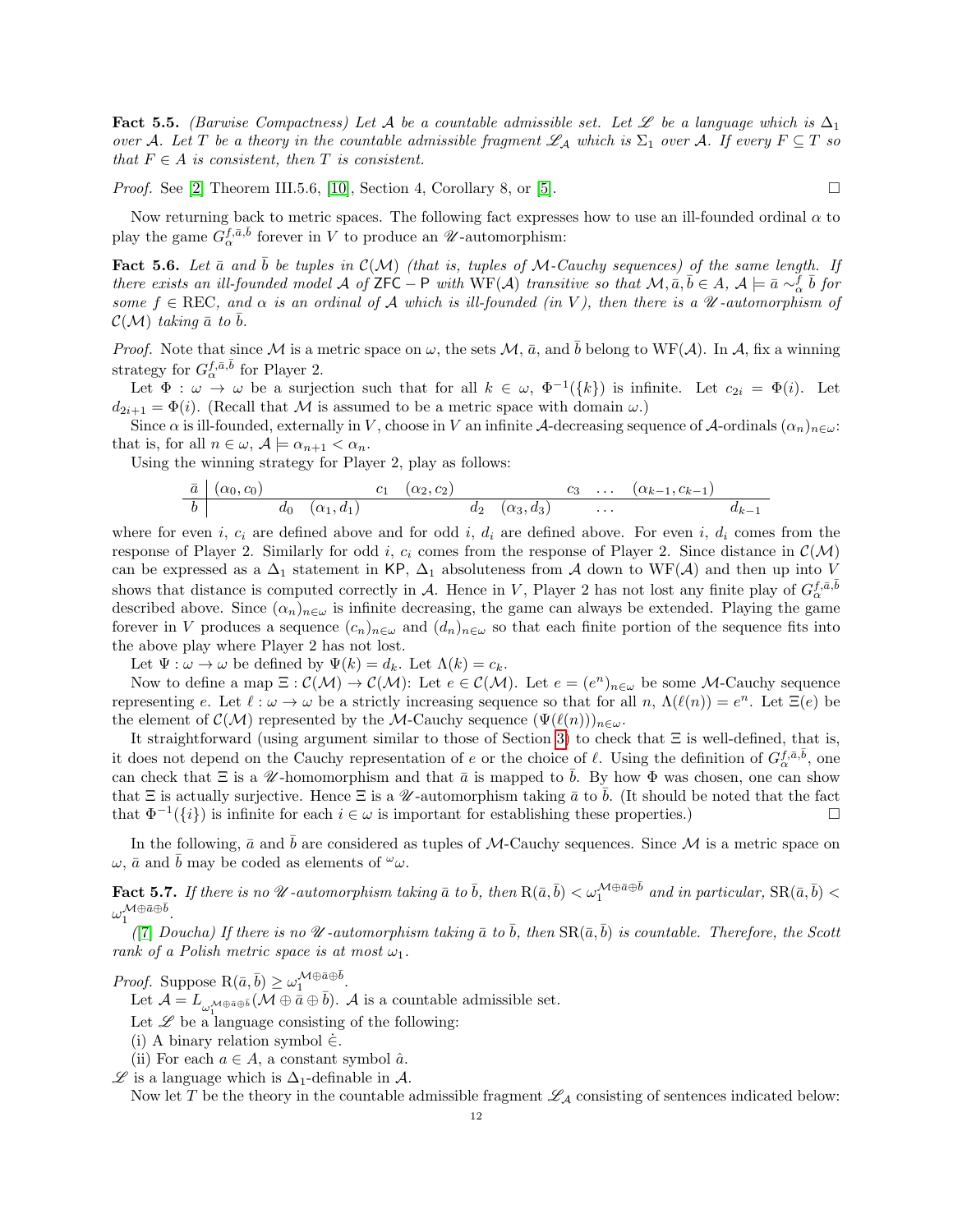Fact 5.5. (Barwise Compactness) Let A be a countable admissible set. Let Let a language which is  $\Delta_1$ over A. Let T be a theory in the countable admissible fragment  $\mathscr{L}_\mathcal{A}$  which is  $\Sigma_1$  over A. If every  $F \subseteq T$  so that  $F \in A$  is consistent, then T is consistent.

*Proof.* See [\[2\]](#page-14-11) Theorem III.5.6, [\[10\]](#page-14-13), Section 4, Corollary 8, or [\[5\]](#page-14-12).

Now returning back to metric spaces. The following fact expresses how to use an ill-founded ordinal  $\alpha$  to play the game  $\widetilde{G}_{\alpha}^{f, \bar a, \bar b}$  forever in V to produce an  $\mathscr U$ -automorphism:

<span id="page-11-0"></span>**Fact 5.6.** Let  $\bar{a}$  and  $\bar{b}$  be tuples in  $\mathcal{C}(\mathcal{M})$  (that is, tuples of M-Cauchy sequences) of the same length. If there exists an ill-founded model A of ZFC – P with  $WF(A)$  transitive so that  $M, \overline{a}, \overline{b} \in A$ ,  $A \models \overline{a} \sim_{\alpha}^f \overline{b}$  for some  $f \in \text{REC}$ , and  $\alpha$  is an ordinal of A which is ill-founded (in V), then there is a  $\mathcal U$ -automorphism of  $\mathcal{C}(\mathcal{M})$  taking  $\bar{a}$  to  $\bar{b}$ .

*Proof.* Note that since M is a metric space on  $\omega$ , the sets  $\mathcal{M}$ ,  $\bar{a}$ , and  $\bar{b}$  belong to WF(A). In A, fix a winning strategy for  $G_{\alpha}^{f, \bar{a}, \bar{b}}$  for Player 2.

Let  $\Phi : \omega \to \omega$  be a surjection such that for all  $k \in \omega$ ,  $\Phi^{-1}(\{k\})$  is infinite. Let  $c_{2i} = \Phi(i)$ . Let  $d_{2i+1} = \Phi(i)$ . (Recall that M is assumed to be a metric space with domain  $\omega$ .)

Since  $\alpha$  is ill-founded, externally in V, choose in V an infinite A-decreasing sequence of A-ordinals  $(\alpha_n)_{n\in\omega}$ : that is, for all  $n \in \omega$ ,  $\mathcal{A} \models \alpha_{n+1} < \alpha_n$ .

Using the winning strategy for Player 2, play as follows:

$$
\begin{array}{c|ccccccccc}\n\bar{a} & (\alpha_0, c_0) & c_1 & (\alpha_2, c_2) & c_3 & \dots & (\alpha_{k-1}, c_{k-1}) & \\
\hline\nb & d_0 & (\alpha_1, d_1) & d_2 & (\alpha_3, d_3) & \dots & d_{k-1} & \\
\end{array}
$$

where for even i,  $c_i$  are defined above and for odd i,  $d_i$  are defined above. For even i,  $d_i$  comes from the response of Player 2. Similarly for odd i,  $c_i$  comes from the response of Player 2. Since distance in  $\mathcal{C}(\mathcal{M})$ can be expressed as a  $\Delta_1$  statement in KP,  $\Delta_1$  absoluteness from A down to WF(A) and then up into V shows that distance is computed correctly in A. Hence in V, Player 2 has not lost any finite play of  $G_{\alpha}^{f,\bar{a},\bar{b}}$ described above. Since  $(\alpha_n)_{n\in\omega}$  is infinite decreasing, the game can always be extended. Playing the game forever in V produces a sequence  $(c_n)_{n\in\omega}$  and  $(d_n)_{n\in\omega}$  so that each finite portion of the sequence fits into the above play where Player 2 has not lost.

Let  $\Psi : \omega \to \omega$  be defined by  $\Psi(k) = d_k$ . Let  $\Lambda(k) = c_k$ .

Now to define a map  $\Xi: \mathcal{C}(\mathcal{M}) \to \mathcal{C}(\mathcal{M})$ : Let  $e \in \mathcal{C}(\mathcal{M})$ . Let  $e = (e^n)_{n \in \omega}$  be some M-Cauchy sequence representing e. Let  $\ell : \omega \to \omega$  be a strictly increasing sequence so that for all n,  $\Lambda(\ell(n)) = e^n$ . Let  $\Xi(e)$  be the element of  $\mathcal{C}(\mathcal{M})$  represented by the M-Cauchy sequence  $(\Psi(\ell(n)))_{n\in\omega}$ .

It straightforward (using argument similar to those of Section [3\)](#page-4-0) to check that  $\Xi$  is well-defined, that is, it does not depend on the Cauchy representation of e or the choice of  $\ell$ . Using the definition of  $G_{\alpha}^{f,\bar{a},\bar{b}},$  one can check that  $\Xi$  is a W-homomorphism and that  $\bar{a}$  is mapped to  $\bar{b}$ . By how  $\Phi$  was chosen, one can show that  $\Xi$  is actually surjective. Hence  $\Xi$  is a W-automorphism taking  $\bar{a}$  to b. (It should be noted that the fact that  $\Phi^{-1}(\{i\})$  is infinite for each  $i \in \omega$  is important for establishing these properties.)

In the following,  $\bar{a}$  and b are considered as tuples of M-Cauchy sequences. Since M is a metric space on  $\omega$ ,  $\bar{a}$  and  $\bar{b}$  may be coded as elements of  $\omega$ .

<span id="page-11-1"></span>**Fact 5.7.** If there is no  $\mathcal U$ -automorphism taking  $\bar a$  to  $\bar b$ , then  $R(\bar a, \bar b)<\omega_1^{\mathcal M\oplus \bar a\oplus \bar b}$  and in particular,  $\text{SR}(\bar a, \bar b)<$  $\omega_1^{\mathcal{M}\oplus \bar a \oplus \bar b}.$ 

([\[7\]](#page-14-4) Doucha) If there is no  $\mathcal U$ -automorphism taking  $\bar a$  to  $\bar b$ , then  $\text{SR}(\bar a, \bar b)$  is countable. Therefore, the Scott rank of a Polish metric space is at most  $\omega_1$ .

*Proof.* Suppose  $R(\bar{a}, \bar{b}) \geq \omega_1^{\mathcal{M} \oplus \bar{a} \oplus \bar{b}}$ .

Let  $\mathcal{A} = L_{\omega_1^{\mathcal{M} \oplus \bar{a} \oplus \bar{b}}} (\mathcal{M} \oplus \bar{a} \oplus \bar{b}).$  A is a countable admissible set.

Let  $\mathscr L$  be a language consisting of the following:

(i) A binary relation symbol  $\dot{\in}$ .

(ii) For each  $a \in A$ , a constant symbol  $\hat{a}$ .

 $\mathscr L$  is a language which is  $\Delta_1$ -definable in  $\mathcal A$ .

Now let T be the theory in the countable admissible fragment  $\mathscr{L}_A$  consisting of sentences indicated below: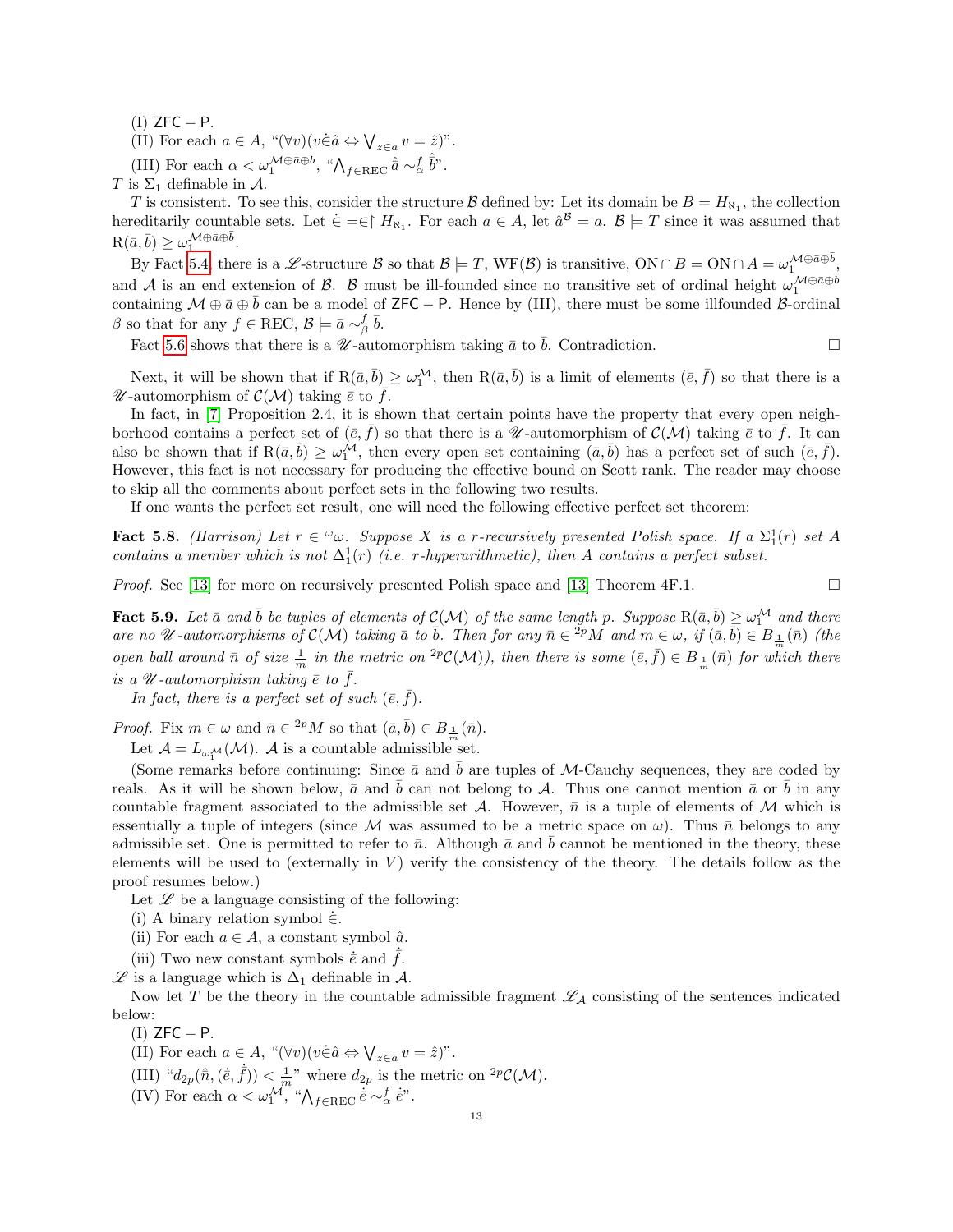$(I)$  ZFC  $-$  P.

(II) For each  $a \in A$ , " $(\forall v)(v \in \hat{a} \Leftrightarrow \bigvee_{z \in a} v = \hat{z})$ ".

(III) For each  $\alpha < \omega_1^{\mathcal{M}\oplus \bar{a}\oplus \bar{b}}$ , " $\bigwedge_{f\in\text{REC}} \hat{\bar{a}} \sim_{\alpha}^f \hat{\bar{b}}$ ".

T is  $\Sigma_1$  definable in A.

T is consistent. To see this, consider the structure B defined by: Let its domain be  $B = H_{\aleph_1}$ , the collection hereditarily countable sets. Let  $\dot{\in} = \in \upharpoonright H_{\aleph_1}$ . For each  $a \in A$ , let  $\hat{a}^B = a$ .  $B \models T$  since it was assumed that  $R(\bar{a}, \bar{b}) \geq \omega_1^{\mathcal{M} \oplus \bar{a} \oplus \bar{b}}.$ 

By Fact [5.4,](#page-10-1) there is a L-structure B so that  $\mathcal{B} \models T$ ,  $WF(\mathcal{B})$  is transitive,  $ON \cap B = ON \cap A = \omega_1^{\mathcal{M} \oplus \bar{a} \oplus \bar{b}}$ and A is an end extension of B. B must be ill-founded since no transitive set of ordinal height  $\omega_1^{\mathcal{M}\oplus \bar{\mathfrak{a}}\oplus \bar{\mathfrak{b}}}$ containing  $\mathcal{M} \oplus \bar{a} \oplus \bar{b}$  can be a model of ZFC – P. Hence by (III), there must be some illfounded B-ordinal  $\beta$  so that for any  $f \in \text{REC}, \mathcal{B} \models \bar{a} \sim_{\beta}^f \bar{b}.$ 

Fact [5.6](#page-11-0) shows that there is a  $\mathcal{U}$ -automorphism taking  $\bar{a}$  to  $\bar{b}$ . Contradiction.

Next, it will be shown that if  $R(\bar{a}, \bar{b}) \geq \omega_1^{\mathcal{M}}$ , then  $R(\bar{a}, \bar{b})$  is a limit of elements  $(\bar{e}, \bar{f})$  so that there is a W-automorphism of  $\mathcal{C}(\mathcal{M})$  taking  $\bar{e}$  to f.

In fact, in [\[7\]](#page-14-4) Proposition 2.4, it is shown that certain points have the property that every open neighborhood contains a perfect set of  $(\bar{e}, \bar{f})$  so that there is a W-automorphism of  $\mathcal{C}(\mathcal{M})$  taking  $\bar{e}$  to  $\bar{f}$ . It can also be shown that if  $R(\bar{a}, \bar{b}) \geq \omega_1^{\mathcal{M}}$ , then every open set containing  $(\bar{a}, \bar{b})$  has a perfect set of such  $(\bar{e}, \bar{f})$ . However, this fact is not necessary for producing the effective bound on Scott rank. The reader may choose to skip all the comments about perfect sets in the following two results.

If one wants the perfect set result, one will need the following effective perfect set theorem:

<span id="page-12-0"></span>**Fact 5.8.** (Harrison) Let  $r \in \omega$ . Suppose X is a r-recursively presented Polish space. If a  $\Sigma_1^1(r)$  set A contains a member which is not  $\Delta_1^1(r)$  (i.e. r-hyperarithmetic), then A contains a perfect subset.

*Proof.* See [\[13\]](#page-14-15) for more on recursively presented Polish space and [13] Theorem 4F.1.  $\square$ 

<span id="page-12-1"></span>Fact 5.9. Let  $\bar{a}$  and  $\bar{b}$  be tuples of elements of  $\mathcal{C}(\mathcal{M})$  of the same length p. Suppose  $R(\bar{a}, \bar{b}) \geq \omega_1^{\mathcal{M}}$  and there are no U-automorphisms of  $\mathcal{C}(\mathcal{M})$  taking  $\bar{a}$  to  $\bar{b}$ . Then for any  $\bar{n} \in \overset{2p}{P}M$  and  $m \in \omega$ , if  $(\bar{a}, \bar{b}) \in B_{\perp}(\bar{n})$  (the open ball around  $\bar{n}$  of size  $\frac{1}{m}$  in the metric on <sup>2p</sup>C(M)), then there is some  $(\bar{e}, \bar{f}) \in B_{\frac{1}{m}}(\bar{n})$  for which there is a  $\mathscr U$ -automorphism taking  $\bar e$  to  $\bar f$ .

In fact, there is a perfect set of such  $(\bar{e}, f)$ .

*Proof.* Fix  $m \in \omega$  and  $\bar{n} \in {}^{2p}M$  so that  $(\bar{a}, \bar{b}) \in B_{\frac{1}{m}}(\bar{n})$ .

Let  $\mathcal{A} = L_{\omega_1^{\mathcal{M}}}(\mathcal{M})$ . A is a countable admissible set.

(Some remarks before continuing: Since  $\bar{a}$  and  $\bar{b}$  are tuples of M-Cauchy sequences, they are coded by reals. As it will be shown below,  $\bar{a}$  and  $\bar{b}$  can not belong to A. Thus one cannot mention  $\bar{a}$  or  $\bar{b}$  in any countable fragment associated to the admissible set A. However,  $\bar{n}$  is a tuple of elements of M which is essentially a tuple of integers (since M was assumed to be a metric space on  $\omega$ ). Thus  $\bar{n}$  belongs to any admissible set. One is permitted to refer to  $\bar{n}$ . Although  $\bar{a}$  and  $\bar{b}$  cannot be mentioned in the theory, these elements will be used to (externally in  $V$ ) verify the consistency of the theory. The details follow as the proof resumes below.)

Let  $\mathscr L$  be a language consisting of the following:

(i) A binary relation symbol  $\in$ .

(ii) For each  $a \in A$ , a constant symbol  $\hat{a}$ .

(iii) Two new constant symbols  $\dot{\vec{e}}$  and  $\dot{\vec{f}}$ .

 $\mathscr L$  is a language which is  $\Delta_1$  definable in  $\mathcal A$ .

Now let T be the theory in the countable admissible fragment  $\mathscr{L}_{\mathcal{A}}$  consisting of the sentences indicated below:

 $(I)$  ZFC  $- P$ .

(II) For each  $a \in A$ , " $(\forall v)(v \in \hat{a} \Leftrightarrow \bigvee_{z \in a} v = \hat{z})$ ".

- (III) " $d_{2p}(\hat{\bar{n}}, \langle \dot{e}, \dot{f}) \rangle < \frac{1}{m}$ " where  $d_{2p}$  is the metric on <sup>2p</sup>C(M).
- (IV) For each  $\alpha < \omega_1^{\mathcal{M}}$ , " $\bigwedge_{f \in \text{REC}} \dot{\bar{e}} \sim_{\alpha}^f \dot{\bar{e}}$ ".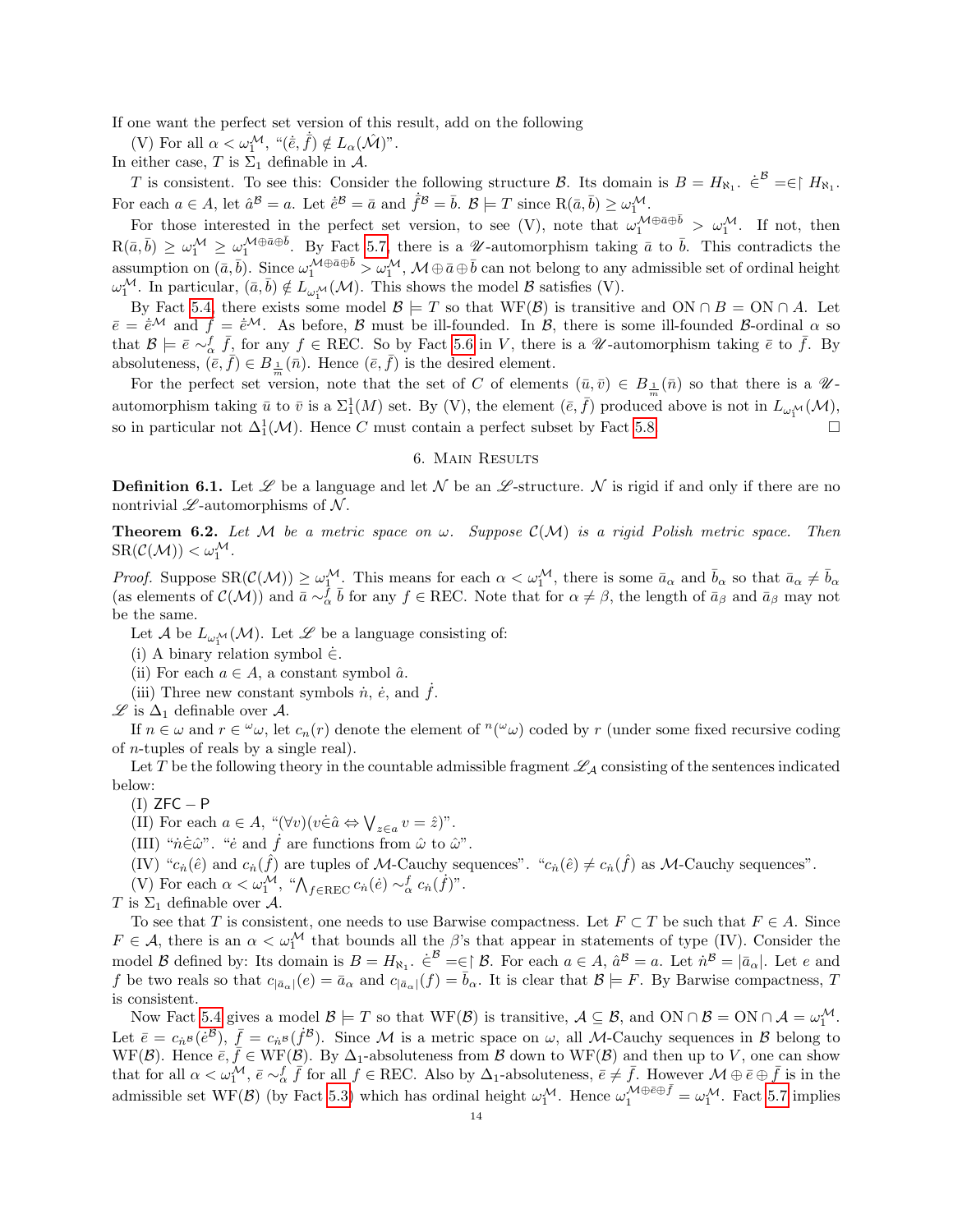If one want the perfect set version of this result, add on the following

(V) For all  $\alpha < \omega_1^{\mathcal{M}}, \ ^{\shortparallel}(\dot{\bar{e}}, \dot{\bar{f}}) \notin L_{\alpha}(\hat{\mathcal{M}})^{\shortparallel}.$ 

In either case, T is  $\Sigma_1$  definable in A.

T is consistent. To see this: Consider the following structure B. Its domain is  $B = H_{\aleph_1}$ .  $\dot{\in}^B = \in \upharpoonright H_{\aleph_1}$ . For each  $a \in A$ , let  $\hat{a}^{\mathcal{B}} = a$ . Let  $\dot{\bar{e}}^{\mathcal{B}} = \bar{a}$  and  $\dot{\bar{f}}^{\mathcal{B}} = \bar{b}$ .  $\mathcal{B} \models T$  since  $R(\bar{a}, \bar{b}) \geq \omega_1^{\mathcal{M}}$ .

For those interested in the perfect set version, to see (V), note that  $\omega_1^{\mathcal{M}\oplus \bar{a}\oplus \bar{b}} > \omega_1^{\mathcal{M}}$ . If not, then  $R(\bar{a}, \bar{b}) \geq \omega_1^{\mathcal{M}} \geq \omega_1^{\mathcal{M} \oplus \bar{a} \oplus \bar{b}}$ . By Fact [5.7,](#page-11-1) there is a *U*-automorphism taking  $\bar{a}$  to  $\bar{b}$ . This contradicts the assumption on  $(\bar{a}, \bar{b})$ . Since  $\omega_1^{\mathcal{M} \oplus \bar{a} \oplus \bar{b}} > \omega_1^{\mathcal{M}}, \mathcal{M} \oplus \bar{a} \oplus \bar{b}$  can not belong to any admissible set of ordinal height  $\omega_1^{\mathcal{M}}$ . In particular,  $(\bar{a}, \bar{b}) \notin L_{\omega_1^{\mathcal{M}}}(\mathcal{M})$ . This shows the model  $\mathcal{B}$  satisfies (V).

By Fact [5.4,](#page-10-1) there exists some model  $\mathcal{B} \models T$  so that WF( $\mathcal{B}$ ) is transitive and ON ∩ B = ON ∩ A. Let  $\bar{e} = \dot{\bar{e}}^{\mathcal{M}}$  and  $\bar{f} = \dot{\bar{e}}^{\mathcal{M}}$ . As before, B must be ill-founded. In B, there is some ill-founded B-ordinal  $\alpha$  so that  $\mathcal{B} \models \bar{e} \sim_{\alpha}^f \bar{f}$ , for any  $f \in \text{REC}$ . So by Fact [5.6](#page-11-0) in V, there is a  $\mathcal{U}$ -automorphism taking  $\bar{e}$  to  $\bar{f}$ . By absoluteness,  $(\bar{e}, \bar{f}) \in B_{\frac{1}{m}}(\bar{n})$ . Hence  $(\bar{e}, \bar{f})$  is the desired element.

For the perfect set version, note that the set of C of elements  $(\bar{u}, \bar{v}) \in B_{\frac{1}{m}}(\bar{n})$  so that there is a  $\mathscr{U}$ automorphism taking  $\bar{u}$  to  $\bar{v}$  is a  $\Sigma_1^1(M)$  set. By (V), the element  $(\bar{e}, \bar{f})$  produced above is not in  $L_{\omega_1^{\mathcal{M}}}(\mathcal{M})$ , so in particular not  $\Delta_1^1(\mathcal{M})$ . Hence C must contain a perfect subset by Fact [5.8.](#page-12-0)

## 6. Main Results

<span id="page-13-0"></span>**Definition 6.1.** Let  $\mathscr L$  be a language and let N be an  $\mathscr L$ -structure. N is rigid if and only if there are no nontrivial  $\mathscr{L}\text{-automorphisms of }\mathcal{N}.$ 

<span id="page-13-1"></span>**Theorem 6.2.** Let M be a metric space on  $\omega$ . Suppose  $\mathcal{C}(\mathcal{M})$  is a rigid Polish metric space. Then  $\text{SR}(\mathcal{C}(\mathcal{M})) < \omega_1^{\mathcal{M}}$ .

Proof. Suppose  $\text{SR}(\mathcal{C}(\mathcal{M})) \geq \omega_1^{\mathcal{M}}$ . This means for each  $\alpha < \omega_1^{\mathcal{M}}$ , there is some  $\bar{a}_{\alpha}$  and  $\bar{b}_{\alpha}$  so that  $\bar{a}_{\alpha} \neq \bar{b}_{\alpha}$ (as elements of  $\mathcal{C}(\mathcal{M})$ ) and  $\overline{a} \sim_{\alpha}^{\overline{f}} \overline{b}$  for any  $f \in \text{REC}$ . Note that for  $\alpha \neq \beta$ , the length of  $\overline{a}_{\beta}$  and  $\overline{a}_{\beta}$  may not be the same.

Let  $\mathcal A$  be  $L_{\omega_1^{\mathcal M}}(\mathcal M)$ . Let  $\mathscr L$  be a language consisting of:

- (i) A binary relation symbol  $\dot{\in}$ .
- (ii) For each  $a \in A$ , a constant symbol  $\hat{a}$ .
- (iii) Three new constant symbols  $\dot{n}$ ,  $\dot{e}$ , and  $\dot{f}$ .

 $\mathscr{L}$  is  $\Delta_1$  definable over *A*.

If  $n \in \omega$  and  $r \in \omega$ , let  $c_n(r)$  denote the element of  $\omega$  coded by r (under some fixed recursive coding of n-tuples of reals by a single real).

Let T be the following theory in the countable admissible fragment  $\mathscr{L}_\mathcal{A}$  consisting of the sentences indicated below:

 $(I)$  ZFC – P

(II) For each  $a \in A$ , " $(\forall v)(v \in \hat{a} \Leftrightarrow \bigvee_{z \in a} v = \hat{z})$ ".

(III) " $\dot{n}\dot{\in}\hat{\omega}$ ". " $\dot{e}$  and  $\dot{f}$  are functions from  $\hat{\omega}$  to  $\hat{\omega}$ ".

(IV) " $c_n(\hat{e})$  and  $c_n(\hat{f})$  are tuples of M-Cauchy sequences". " $c_n(\hat{e}) \neq c_n(\hat{f})$  as M-Cauchy sequences".

(V) For each  $\alpha < \omega_1^{\mathcal{M}}$ , " $\bigwedge_{f \in \text{REC}} c_n(\dot{e}) \sim_{\alpha}^f c_n(\dot{f})$ ".

T is  $\Sigma_1$  definable over A.

To see that T is consistent, one needs to use Barwise compactness. Let  $F \subset T$  be such that  $F \in A$ . Since  $F \in \mathcal{A}$ , there is an  $\alpha < \omega_1^{\mathcal{M}}$  that bounds all the  $\beta$ 's that appear in statements of type (IV). Consider the model B defined by: Its domain is  $B = H_{\aleph_1}$ .  $\in^{\mathcal{B}} = \in \upharpoonright \mathcal{B}$ . For each  $a \in A$ ,  $\hat{a}^{\mathcal{B}} = a$ . Let  $\hat{n}^{\mathcal{B}} = |\bar{a}_{\alpha}|$ . Let e and f be two reals so that  $c_{|\bar{a}_{\alpha}|}(e) = \bar{a}_{\alpha}$  and  $c_{|\bar{a}_{\alpha}|}(f) = \bar{b}_{\alpha}$ . It is clear that  $\mathcal{B} \models F$ . By Barwise compactness, T is consistent.

Now Fact [5.4](#page-10-1) gives a model  $\mathcal{B} \models T$  so that  $WF(\mathcal{B})$  is transitive,  $\mathcal{A} \subseteq \mathcal{B}$ , and  $ON \cap \mathcal{B} = ON \cap \mathcal{A} = \omega_1^{\mathcal{M}}$ . Let  $\bar{e} = c_{\dot{n}^{\mathcal{B}}}(\dot{e}^{\mathcal{B}}), \ \bar{f} = c_{\dot{n}^{\mathcal{B}}}(\dot{f}^{\mathcal{B}})$ . Since M is a metric space on  $\omega$ , all M-Cauchy sequences in  $\mathcal{B}$  belong to WF(B). Hence  $\bar{e}, \bar{f} \in \text{WF}(\mathcal{B})$ . By  $\Delta_1$ -absoluteness from B down to WF(B) and then up to V, one can show that for all  $\alpha < \omega_1^{\mathcal{M}}, \bar{e} \sim_{\alpha}^{\mathcal{F}} \bar{f}$  for all  $f \in \text{REC}$ . Also by  $\Delta_1$ -absoluteness,  $\bar{e} \neq \bar{f}$ . However  $\mathcal{M} \oplus \bar{e} \oplus \bar{f}$  is in the admissible set WF(B) (by Fact [5.3\)](#page-10-2) which has ordinal height  $\omega_1^{\mathcal{M}}$ . Hence  $\omega_1^{\mathcal{M}\oplus\bar{\epsilon}\oplus\bar{f}} = \omega_1^{\mathcal{M}}$ . Fact [5.7](#page-11-1) implies